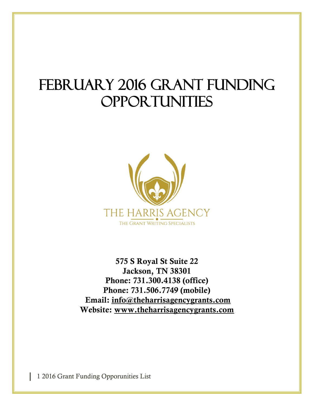# FEBRUARY 2016 GRANT FUNDING **OPPORTUNITIES**



**575 S Royal St Suite 22 Jackson, TN 38301 Phone: 731.300.4138 (office) Phone: 731.506.7749 (mobile) Email: [info@theharrisagencygrants.com](mailto:info@theharrisagencygrants.com)  Website: [www.theharrisagencygrants.com](http://www.theharrisagencygrants.com/)**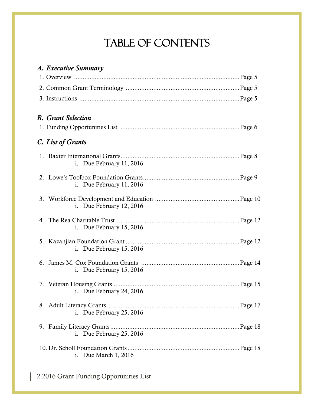## Table of Contents

| A. Executive Summary       |
|----------------------------|
|                            |
|                            |
|                            |
| <b>B.</b> Grant Selection  |
|                            |
| C. List of Grants          |
| i. Due February $11, 2016$ |
| i. Due February $11, 2016$ |
| i. Due February 12, 2016   |
| i. Due February $15, 2016$ |
| i. Due February 15, 2016   |
| i. Due February $15, 2016$ |
| i. Due February 24, 2016   |
| i. Due February 25, 2016   |
| i. Due February 25, 2016   |
| i. Due March 1, 2016       |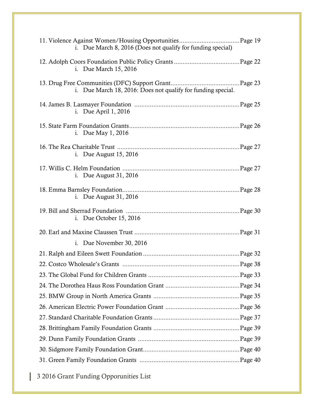| i. Due March 8, 2016 (Does not qualify for funding special)  |
|--------------------------------------------------------------|
| i. Due March 15, 2016                                        |
| i. Due March 18, 2016: Does not qualify for funding special. |
| i. Due April 1, 2016                                         |
| i. Due May 1, 2016                                           |
| i. Due August 15, 2016                                       |
| i. Due August 31, 2016                                       |
| i. Due August $31, 2016$                                     |
| i. Due October $15, 2016$                                    |
|                                                              |
|                                                              |
| i. Due November 30, 2016                                     |
|                                                              |
|                                                              |
|                                                              |
|                                                              |
|                                                              |
|                                                              |
|                                                              |
|                                                              |
|                                                              |
|                                                              |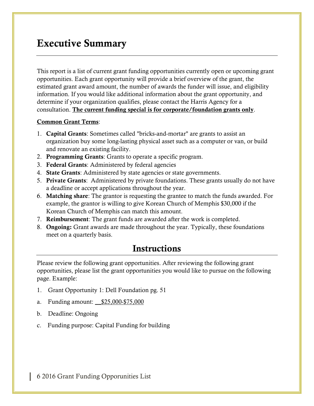## **Executive Summary**

This report is a list of current grant funding opportunities currently open or upcoming grant opportunities. Each grant opportunity will provide a brief overview of the grant, the estimated grant award amount, the number of awards the funder will issue, and eligibility information. If you would like additional information about the grant opportunity, and determine if your organization qualifies, please contact the Harris Agency for a consultation. **The current funding special is for corporate/foundation grants only**.

#### **Common Grant Terms**:

- 1. **Capital Grants**: Sometimes called "bricks-and-mortar" are grants to assist an organization buy some long-lasting physical asset such as a computer or van, or build and renovate an existing facility.
- 2. **Programming Grants**: Grants to operate a specific program.
- 3. **Federal Grants**: Administered by federal agencies
- 4. **State Grants**: Administered by state agencies or state governments.
- 5. **Private Grants**: Administered by private foundations. These grants usually do not have a deadline or accept applications throughout the year.
- 6. **Matching share**: The grantor is requesting the grantee to match the funds awarded. For example, the grantor is willing to give Korean Church of Memphis \$30,000 if the Korean Church of Memphis can match this amount.
- 7. **Reimbursement**: The grant funds are awarded after the work is completed.
- 8. **Ongoing:** Grant awards are made throughout the year. Typically, these foundations meet on a quarterly basis.

## **Instructions**

Please review the following grant opportunities. After reviewing the following grant opportunities, please list the grant opportunities you would like to pursue on the following page. Example:

- 1. Grant Opportunity 1: Dell Foundation pg. 51
- a. Funding amount: \_\_\$25,000-\$75,000
- b. Deadline: Ongoing
- c. Funding purpose: Capital Funding for building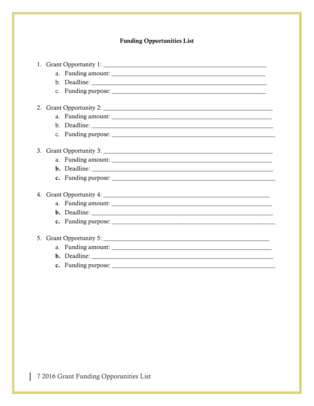### **Funding Opportunities List**

|         | 1. Grant Opportunity 1:                                                                                                                                         |  |
|---------|-----------------------------------------------------------------------------------------------------------------------------------------------------------------|--|
|         |                                                                                                                                                                 |  |
|         |                                                                                                                                                                 |  |
|         |                                                                                                                                                                 |  |
|         |                                                                                                                                                                 |  |
|         |                                                                                                                                                                 |  |
|         |                                                                                                                                                                 |  |
|         |                                                                                                                                                                 |  |
|         |                                                                                                                                                                 |  |
|         |                                                                                                                                                                 |  |
| 3.      |                                                                                                                                                                 |  |
|         |                                                                                                                                                                 |  |
|         |                                                                                                                                                                 |  |
|         | c. Funding purpose: $\sqrt{2\pi}$ $\sqrt{2\pi}$ $\sqrt{2\pi}$ $\sqrt{2\pi}$ $\sqrt{2\pi}$ $\sqrt{2\pi}$ $\sqrt{2\pi}$ $\sqrt{2\pi}$ $\sqrt{2\pi}$ $\sqrt{2\pi}$ |  |
|         |                                                                                                                                                                 |  |
|         |                                                                                                                                                                 |  |
|         |                                                                                                                                                                 |  |
|         |                                                                                                                                                                 |  |
|         |                                                                                                                                                                 |  |
|         |                                                                                                                                                                 |  |
| $5_{-}$ |                                                                                                                                                                 |  |
|         |                                                                                                                                                                 |  |
|         |                                                                                                                                                                 |  |
|         |                                                                                                                                                                 |  |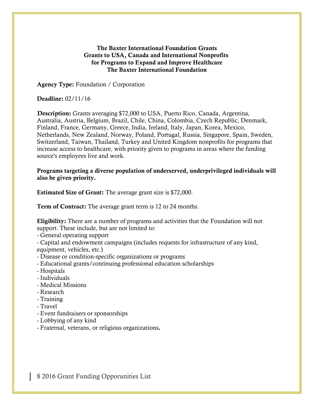#### **The Baxter International Foundation Grants Grants to USA, Canada and International Nonprofits for Programs to Expand and Improve Healthcare The Baxter International Foundation**

**Agency Type:** Foundation / Corporation

#### **Deadline:** 02/11/16

**Description:** Grants averaging \$72,000 to USA, Puerto Rico, Canada, Argentina, Australia, Austria, Belgium, Brazil, Chile, China, Colombia, Czech Republic, Denmark, Finland, France, Germany, Greece, India, Ireland, Italy, Japan, Korea, Mexico, Netherlands, New Zealand, Norway, Poland, Portugal, Russia, Singapore, Spain, Sweden, Switzerland, Taiwan, Thailand, Turkey and United Kingdom nonprofits for programs that increase access to healthcare, with priority given to programs in areas where the funding source's employees live and work.

**Programs targeting a diverse population of underserved, underprivileged individuals will also be given priority.**

**Estimated Size of Grant:** The average grant size is \$72,000.

**Term of Contract:** The average grant term is 12 to 24 months.

**Eligibility:** There are a number of programs and activities that the Foundation will not support. These include, but are not limited to:

- General operating support

- Capital and endowment campaigns (includes requests for infrastructure of any kind, equipment, vehicles, etc.)

- Disease or condition-specific organizations or programs
- Educational grants/continuing professional education scholarships
- Hospitals
- Individuals
- Medical Missions
- Research
- Training
- Travel
- Event fundraisers or sponsorships
- Lobbying of any kind
- Fraternal, veterans, or religious organizations**.**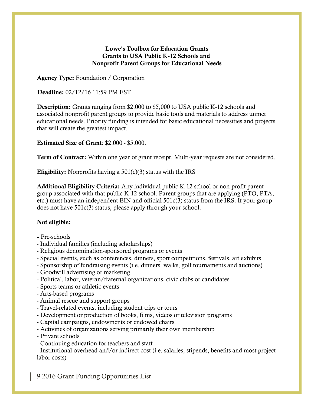#### **Lowe's Toolbox for Education Grants Grants to USA Public K-12 Schools and Nonprofit Parent Groups for Educational Needs**

**Agency Type:** Foundation / Corporation

**Deadline:** 02/12/16 11:59 PM EST

**Description:** Grants ranging from \$2,000 to \$5,000 to USA public K-12 schools and associated nonprofit parent groups to provide basic tools and materials to address unmet educational needs. Priority funding is intended for basic educational necessities and projects that will create the greatest impact.

**Estimated Size of Grant**: \$2,000 - \$5,000.

**Term of Contract:** Within one year of grant receipt. Multi-year requests are not considered.

**Eligibility:** Nonprofits having a 501(c)(3) status with the IRS

**Additional Eligibility Criteria:** Any individual public K-12 school or non-profit parent group associated with that public K-12 school. Parent groups that are applying (PTO, PTA, etc.) must have an independent EIN and official 501c(3) status from the IRS. If your group does not have 501c(3) status, please apply through your school.

#### **Not eligible:**

- **-** Pre-schools
- Individual families (including scholarships)
- Religious denomination-sponsored programs or events
- Special events, such as conferences, dinners, sport competitions, festivals, art exhibits
- Sponsorship of fundraising events (i.e. dinners, walks, golf tournaments and auctions)
- Goodwill advertising or marketing
- Political, labor, veteran/fraternal organizations, civic clubs or candidates
- Sports teams or athletic events
- Arts-based programs
- Animal rescue and support groups
- Travel-related events, including student trips or tours
- Development or production of books, films, videos or television programs
- Capital campaigns, endowments or endowed chairs
- Activities of organizations serving primarily their own membership
- Private schools
- Continuing education for teachers and staff

- Institutional overhead and/or indirect cost (i.e. salaries, stipends, benefits and most project labor costs)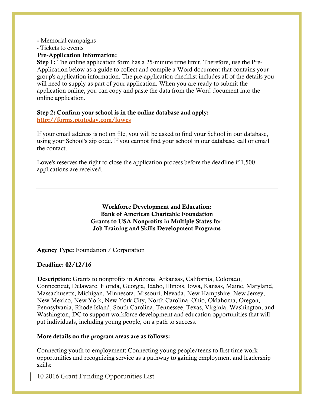#### **-** Memorial campaigns

- Tickets to events

#### **Pre-Application Information:**

**Step 1:** The online application form has a 25-minute time limit. Therefore, use the Pre-Application below as a guide to collect and compile a Word document that contains your group's application information. The pre-application checklist includes all of the details you will need to supply as part of your application. When you are ready to submit the application online, you can copy and paste the data from the Word document into the online application.

## **Step 2: Confirm your school is in the online database and apply:**

**<http://forms.ptotoday.com/lowes>**

If your email address is not on file, you will be asked to find your School in our database, using your School's zip code. If you cannot find your school in our database, call or email the contact.

Lowe's reserves the right to close the application process before the deadline if 1,500 applications are received.

#### **Workforce Development and Education: Bank of American Charitable Foundation Grants to USA Nonprofits in Multiple States for Job Training and Skills Development Programs**

**Agency Type:** Foundation / Corporation

#### **Deadline: 02/12/16**

**Description:** Grants to nonprofits in Arizona, Arkansas, California, Colorado, Connecticut, Delaware, Florida, Georgia, Idaho, Illinois, Iowa, Kansas, Maine, Maryland, Massachusetts, Michigan, Minnesota, Missouri, Nevada, New Hampshire, New Jersey, New Mexico, New York, New York City, North Carolina, Ohio, Oklahoma, Oregon, Pennsylvania, Rhode Island, South Carolina, Tennessee, Texas, Virginia, Washington, and Washington, DC to support workforce development and education opportunities that will put individuals, including young people, on a path to success.

#### **More details on the program areas are as follows:**

Connecting youth to employment: Connecting young people/teens to first time work opportunities and recognizing service as a pathway to gaining employment and leadership skills: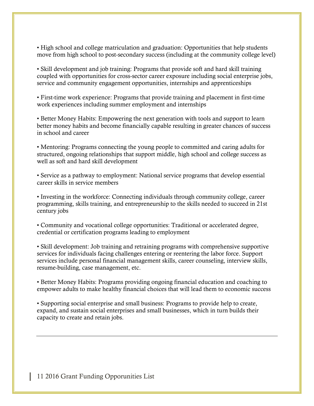• High school and college matriculation and graduation: Opportunities that help students move from high school to post-secondary success (including at the community college level)

• Skill development and job training: Programs that provide soft and hard skill training coupled with opportunities for cross-sector career exposure including social enterprise jobs, service and community engagement opportunities, internships and apprenticeships

• First-time work experience: Programs that provide training and placement in first-time work experiences including summer employment and internships

• Better Money Habits: Empowering the next generation with tools and support to learn better money habits and become financially capable resulting in greater chances of success in school and career

• Mentoring: Programs connecting the young people to committed and caring adults for structured, ongoing relationships that support middle, high school and college success as well as soft and hard skill development

• Service as a pathway to employment: National service programs that develop essential career skills in service members

• Investing in the workforce: Connecting individuals through community college, career programming, skills training, and entrepreneurship to the skills needed to succeed in 21st century jobs

• Community and vocational college opportunities: Traditional or accelerated degree, credential or certification programs leading to employment

• Skill development: Job training and retraining programs with comprehensive supportive services for individuals facing challenges entering or reentering the labor force. Support services include personal financial management skills, career counseling, interview skills, resume-building, case management, etc.

• Better Money Habits: Programs providing ongoing financial education and coaching to empower adults to make healthy financial choices that will lead them to economic success

• Supporting social enterprise and small business: Programs to provide help to create, expand, and sustain social enterprises and small businesses, which in turn builds their capacity to create and retain jobs.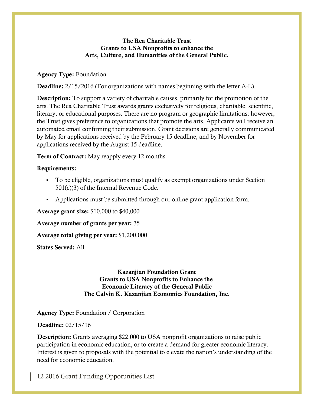#### **The Rea Charitable Trust Grants to USA Nonprofits to enhance the Arts, Culture, and Humanities of the General Public.**

#### **Agency Type:** Foundation

**Deadline:** 2/15/2016 (For organizations with names beginning with the letter A-L).

**Description:** To support a variety of charitable causes, primarily for the promotion of the arts. The Rea Charitable Trust awards grants exclusively for religious, charitable, scientific, literary, or educational purposes. There are no program or geographic limitations; however, the Trust gives preference to organizations that promote the arts. Applicants will receive an automated email confirming their submission. Grant decisions are generally communicated by May for applications received by the February 15 deadline, and by November for applications received by the August 15 deadline.

**Term of Contract:** May reapply every 12 months

#### **Requirements:**

- To be eligible, organizations must qualify as exempt organizations under Section 501(c)(3) of the Internal Revenue Code.
- Applications must be submitted through our online grant application form.

#### **Average grant size:** \$10,000 to \$40,000

**Average number of grants per year:** 35

**Average total giving per year:** \$1,200,000

**States Served:** All

**Kazanjian Foundation Grant Grants to USA Nonprofits to Enhance the Economic Literacy of the General Public The Calvin K. Kazanjian Economics Foundation, Inc.**

**Agency Type:** Foundation / Corporation

#### **Deadline:** 02/15/16

**Description:** Grants averaging \$22,000 to USA nonprofit organizations to raise public participation in economic education, or to create a demand for greater economic literacy. Interest is given to proposals with the potential to elevate the nation's understanding of the need for economic education.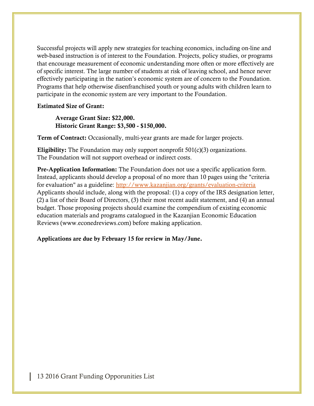Successful projects will apply new strategies for teaching economics, including on-line and web-based instruction is of interest to the Foundation. Projects, policy studies, or programs that encourage measurement of economic understanding more often or more effectively are of specific interest. The large number of students at risk of leaving school, and hence never effectively participating in the nation's economic system are of concern to the Foundation. Programs that help otherwise disenfranchised youth or young adults with children learn to participate in the economic system are very important to the Foundation.

#### **Estimated Size of Grant:**

**Average Grant Size: \$22,000. Historic Grant Range: \$3,500 - \$150,000.**

**Term of Contract:** Occasionally, multi-year grants are made for larger projects.

**Eligibility:** The Foundation may only support nonprofit 501(c)(3) organizations. The Foundation will not support overhead or indirect costs.

**Pre-Application Information:** The Foundation does not use a specific application form. Instead, applicants should develop a proposal of no more than 10 pages using the "criteria for evaluation" as a guideline: <http://www.kazanjian.org/grants/evaluation-criteria> Applicants should include, along with the proposal: (1) a copy of the IRS designation letter, (2) a list of their Board of Directors, (3) their most recent audit statement, and (4) an annual budget. Those proposing projects should examine the compendium of existing economic education materials and programs catalogued in the Kazanjian Economic Education Reviews (www.econedreviews.com) before making application.

#### **Applications are due by February 15 for review in May/June.**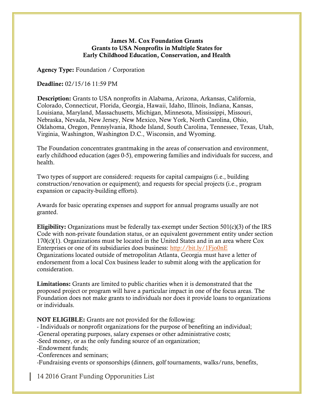#### **James M. Cox Foundation Grants Grants to USA Nonprofits in Multiple States for Early Childhood Education, Conservation, and Health**

**Agency Type:** Foundation / Corporation

**Deadline:** 02/15/16 11:59 PM

**Description:** Grants to USA nonprofits in Alabama, Arizona, Arkansas, California, Colorado, Connecticut, Florida, Georgia, Hawaii, Idaho, Illinois, Indiana, Kansas, Louisiana, Maryland, Massachusetts, Michigan, Minnesota, Mississippi, Missouri, Nebraska, Nevada, New Jersey, New Mexico, New York, North Carolina, Ohio, Oklahoma, Oregon, Pennsylvania, Rhode Island, South Carolina, Tennessee, Texas, Utah, Virginia, Washington, Washington D.C., Wisconsin, and Wyoming.

The Foundation concentrates grantmaking in the areas of conservation and environment, early childhood education (ages 0-5), empowering families and individuals for success, and health.

Two types of support are considered: requests for capital campaigns (i.e., building construction/renovation or equipment); and requests for special projects (i.e., program expansion or capacity-building efforts).

Awards for basic operating expenses and support for annual programs usually are not granted.

**Eligibility:** Organizations must be federally tax-exempt under Section 501(c)(3) of the IRS Code with non-private foundation status, or an equivalent government entity under section 170(c)(1). Organizations must be located in the United States and in an area where Cox Enterprises or one of its subsidiaries does business: <http://bit.ly/1Fjo0nE> Organizations located outside of metropolitan Atlanta, Georgia must have a letter of endorsement from a local Cox business leader to submit along with the application for consideration.

**Limitations:** Grants are limited to public charities when it is demonstrated that the proposed project or program will have a particular impact in one of the focus areas. The Foundation does not make grants to individuals nor does it provide loans to organizations or individuals.

**NOT ELIGIBLE:** Grants are not provided for the following:

- Individuals or nonprofit organizations for the purpose of benefiting an individual;

-General operating purposes, salary expenses or other administrative costs;

-Seed money, or as the only funding source of an organization;

-Endowment funds;

-Conferences and seminars;

-Fundraising events or sponsorships (dinners, golf tournaments, walks/runs, benefits,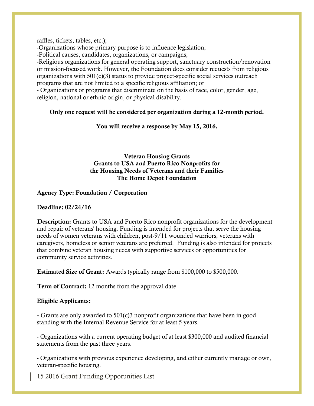raffles, tickets, tables, etc.);

-Organizations whose primary purpose is to influence legislation;

-Political causes, candidates, organizations, or campaigns;

-Religious organizations for general operating support, sanctuary construction/renovation or mission-focused work. However, the Foundation does consider requests from religious organizations with 501(c)(3) status to provide project-specific social services outreach programs that are not limited to a specific religious affiliation; or

- Organizations or programs that discriminate on the basis of race, color, gender, age, religion, national or ethnic origin, or physical disability.

**Only one request will be considered per organization during a 12-month period.**

#### **You will receive a response by May 15, 2016.**

#### **Veteran Housing Grants Grants to USA and Puerto Rico Nonprofits for the Housing Needs of Veterans and their Families The Home Depot Foundation**

**Agency Type: Foundation / Corporation**

**Deadline: 02/24/16**

**Description:** Grants to USA and Puerto Rico nonprofit organizations for the development and repair of veterans' housing. Funding is intended for projects that serve the housing needs of women veterans with children, post-9/11 wounded warriors, veterans with caregivers, homeless or senior veterans are preferred. Funding is also intended for projects that combine veteran housing needs with supportive services or opportunities for community service activities.

**Estimated Size of Grant:** Awards typically range from \$100,000 to \$500,000.

**Term of Contract:** 12 months from the approval date.

#### **Eligible Applicants:**

**-** Grants are only awarded to 501(c)3 nonprofit organizations that have been in good standing with the Internal Revenue Service for at least 5 years.

- Organizations with a current operating budget of at least \$300,000 and audited financial statements from the past three years.

- Organizations with previous experience developing, and either currently manage or own, veteran-specific housing.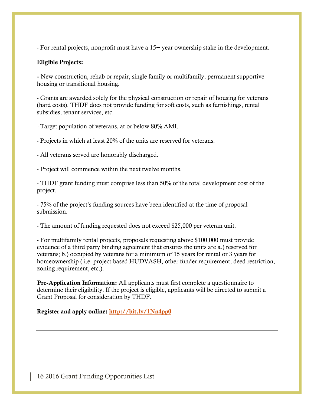- For rental projects, nonprofit must have a 15+ year ownership stake in the development.

#### **Eligible Projects:**

**-** New construction, rehab or repair, single family or multifamily, permanent supportive housing or transitional housing.

- Grants are awarded solely for the physical construction or repair of housing for veterans (hard costs). THDF does not provide funding for soft costs, such as furnishings, rental subsidies, tenant services, etc.

- Target population of veterans, at or below 80% AMI.

- Projects in which at least 20% of the units are reserved for veterans.

- All veterans served are honorably discharged.

- Project will commence within the next twelve months.

- THDF grant funding must comprise less than 50% of the total development cost of the project.

- 75% of the project's funding sources have been identified at the time of proposal submission.

- The amount of funding requested does not exceed \$25,000 per veteran unit.

- For multifamily rental projects, proposals requesting above \$100,000 must provide evidence of a third party binding agreement that ensures the units are a.) reserved for veterans; b.) occupied by veterans for a minimum of 15 years for rental or 3 years for homeownership ( i.e. project-based HUDVASH, other funder requirement, deed restriction, zoning requirement, etc.).

**Pre-Application Information:** All applicants must first complete a questionnaire to determine their eligibility. If the project is eligible, applicants will be directed to submit a Grant Proposal for consideration by THDF.

**Register and apply online: <http://bit.ly/1Nn4pp0>**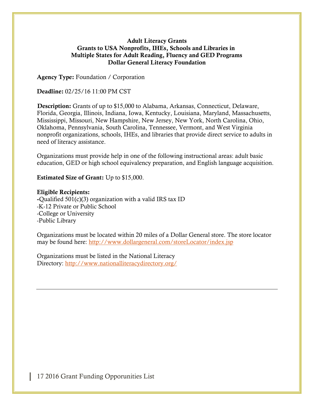#### **Adult Literacy Grants Grants to USA Nonprofits, IHEs, Schools and Libraries in Multiple States for Adult Reading, Fluency and GED Programs Dollar General Literacy Foundation**

**Agency Type:** Foundation / Corporation

**Deadline:** 02/25/16 11:00 PM CST

**Description:** Grants of up to \$15,000 to Alabama, Arkansas, Connecticut, Delaware, Florida, Georgia, Illinois, Indiana, Iowa, Kentucky, Louisiana, Maryland, Massachusetts, Mississippi, Missouri, New Hampshire, New Jersey, New York, North Carolina, Ohio, Oklahoma, Pennsylvania, South Carolina, Tennessee, Vermont, and West Virginia nonprofit organizations, schools, IHEs, and libraries that provide direct service to adults in need of literacy assistance.

Organizations must provide help in one of the following instructional areas: adult basic education, GED or high school equivalency preparation, and English language acquisition.

**Estimated Size of Grant:** Up to \$15,000.

#### **Eligible Recipients:**

**-**Qualified 501(c)(3) organization with a valid IRS tax ID -K-12 Private or Public School -College or University -Public Library

Organizations must be located within 20 miles of a Dollar General store. The store locator may be found here: <http://www.dollargeneral.com/storeLocator/index.jsp>

Organizations must be listed in the National Literacy Directory: <http://www.nationalliteracydirectory.org/>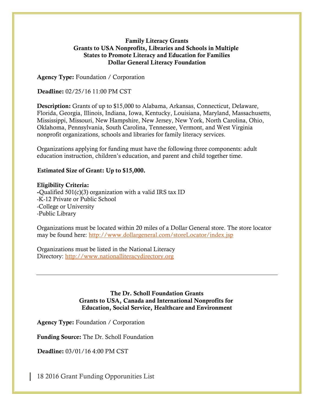#### **Family Literacy Grants Grants to USA Nonprofits, Libraries and Schools in Multiple States to Promote Literacy and Education for Families Dollar General Literacy Foundation**

**Agency Type:** Foundation / Corporation

**Deadline:** 02/25/16 11:00 PM CST

**Description:** Grants of up to \$15,000 to Alabama, Arkansas, Connecticut, Delaware, Florida, Georgia, Illinois, Indiana, Iowa, Kentucky, Louisiana, Maryland, Massachusetts, Mississippi, Missouri, New Hampshire, New Jersey, New York, North Carolina, Ohio, Oklahoma, Pennsylvania, South Carolina, Tennessee, Vermont, and West Virginia nonprofit organizations, schools and libraries for family literacy services.

Organizations applying for funding must have the following three components: adult education instruction, children's education, and parent and child together time.

#### **Estimated Size of Grant: Up to \$15,000.**

#### **Eligibility Criteria:**

**-**Qualified 501(c)(3) organization with a valid IRS tax ID -K-12 Private or Public School -College or University -Public Library

Organizations must be located within 20 miles of a Dollar General store. The store locator may be found here: <http://www.dollargeneral.com/storeLocator/index.jsp>

Organizations must be listed in the National Literacy Directory: [http://www.nationalliteracydirectory.org](http://www.nationalliteracydirectory.org/)

#### **The Dr. Scholl Foundation Grants Grants to USA, Canada and International Nonprofits for Education, Social Service, Healthcare and Environment**

**Agency Type:** Foundation / Corporation

**Funding Source:** The Dr. Scholl Foundation

**Deadline:** 03/01/16 4:00 PM CST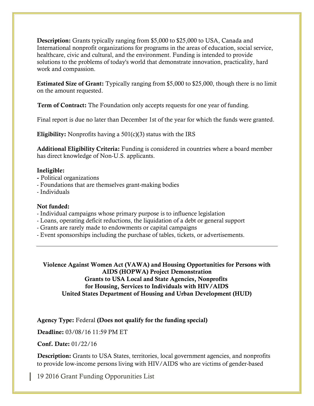**Description:** Grants typically ranging from \$5,000 to \$25,000 to USA, Canada and International nonprofit organizations for programs in the areas of education, social service, healthcare, civic and cultural, and the environment. Funding is intended to provide solutions to the problems of today's world that demonstrate innovation, practicality, hard work and compassion.

**Estimated Size of Grant:** Typically ranging from \$5,000 to \$25,000, though there is no limit on the amount requested.

**Term of Contract:** The Foundation only accepts requests for one year of funding.

Final report is due no later than December 1st of the year for which the funds were granted.

**Eligibility:** Nonprofits having a 501(c)(3) status with the IRS

**Additional Eligibility Criteria:** Funding is considered in countries where a board member has direct knowledge of Non-U.S. applicants.

#### **Ineligible:**

- **-** Political organizations
- Foundations that are themselves grant-making bodies
- Individuals

#### **Not funded:**

- Individual campaigns whose primary purpose is to influence legislation
- Loans, operating deficit reductions, the liquidation of a debt or general support
- Grants are rarely made to endowments or capital campaigns
- Event sponsorships including the purchase of tables, tickets, or advertisements.

**Violence Against Women Act (VAWA) and Housing Opportunities for Persons with AIDS (HOPWA) Project Demonstration Grants to USA Local and State Agencies, Nonprofits for Housing, Services to Individuals with HIV/AIDS United States Department of Housing and Urban Development (HUD)**

**Agency Type:** Federal **(Does not qualify for the funding special)**

**Deadline:** 03/08/16 11:59 PM ET

**Conf. Date:** 01/22/16

**Description:** Grants to USA States, territories, local government agencies, and nonprofits to provide low-income persons living with HIV/AIDS who are victims of gender-based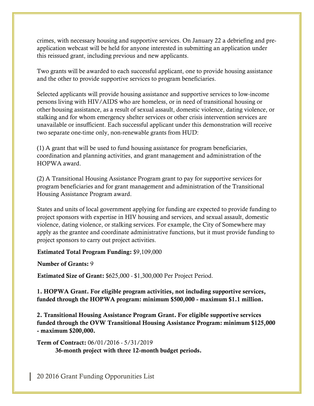crimes, with necessary housing and supportive services. On January 22 a debriefing and preapplication webcast will be held for anyone interested in submitting an application under this reissued grant, including previous and new applicants.

Two grants will be awarded to each successful applicant, one to provide housing assistance and the other to provide supportive services to program beneficiaries.

Selected applicants will provide housing assistance and supportive services to low-income persons living with HIV/AIDS who are homeless, or in need of transitional housing or other housing assistance, as a result of sexual assault, domestic violence, dating violence, or stalking and for whom emergency shelter services or other crisis intervention services are unavailable or insufficient. Each successful applicant under this demonstration will receive two separate one-time only, non-renewable grants from HUD:

(1) A grant that will be used to fund housing assistance for program beneficiaries, coordination and planning activities, and grant management and administration of the HOPWA award.

(2) A Transitional Housing Assistance Program grant to pay for supportive services for program beneficiaries and for grant management and administration of the Transitional Housing Assistance Program award.

States and units of local government applying for funding are expected to provide funding to project sponsors with expertise in HIV housing and services, and sexual assault, domestic violence, dating violence, or stalking services. For example, the City of Somewhere may apply as the grantee and coordinate administrative functions, but it must provide funding to project sponsors to carry out project activities.

**Estimated Total Program Funding:** \$9,109,000

**Number of Grants:** 9

**Estimated Size of Grant:** \$625,000 - \$1,300,000 Per Project Period.

**1. HOPWA Grant. For eligible program activities, not including supportive services, funded through the HOPWA program: minimum \$500,000 - maximum \$1.1 million.**

**2. Transitional Housing Assistance Program Grant. For eligible supportive services funded through the OVW Transitional Housing Assistance Program: minimum \$125,000 - maximum \$200,000.**

**Term of Contract:** 06/01/2016 - 5/31/2019 **36-month project with three 12-month budget periods.**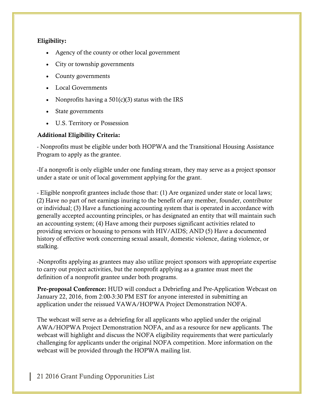#### **Eligibility:**

- Agency of the county or other local government
- City or township governments
- County governments
- Local Governments
- Nonprofits having a  $501(c)(3)$  status with the IRS
- State governments
- U.S. Territory or Possession

#### **Additional Eligibility Criteria:**

- Nonprofits must be eligible under both HOPWA and the Transitional Housing Assistance Program to apply as the grantee.

-If a nonprofit is only eligible under one funding stream, they may serve as a project sponsor under a state or unit of local government applying for the grant.

- Eligible nonprofit grantees include those that: (1) Are organized under state or local laws; (2) Have no part of net earnings inuring to the benefit of any member, founder, contributor or individual; (3) Have a functioning accounting system that is operated in accordance with generally accepted accounting principles, or has designated an entity that will maintain such an accounting system; (4) Have among their purposes significant activities related to providing services or housing to persons with HIV/AIDS; AND (5) Have a documented history of effective work concerning sexual assault, domestic violence, dating violence, or stalking.

-Nonprofits applying as grantees may also utilize project sponsors with appropriate expertise to carry out project activities, but the nonprofit applying as a grantee must meet the definition of a nonprofit grantee under both programs.

**Pre-proposal Conference:** HUD will conduct a Debriefing and Pre-Application Webcast on January 22, 2016, from 2:00-3:30 PM EST for anyone interested in submitting an application under the reissued VAWA/HOPWA Project Demonstration NOFA.

The webcast will serve as a debriefing for all applicants who applied under the original AWA/HOPWA Project Demonstration NOFA, and as a resource for new applicants. The webcast will highlight and discuss the NOFA eligibility requirements that were particularly challenging for applicants under the original NOFA competition. More information on the webcast will be provided through the HOPWA mailing list.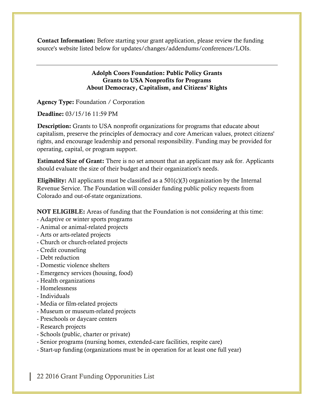**Contact Information:** Before starting your grant application, please review the funding source's website listed below for updates/changes/addendums/conferences/LOIs.

#### **Adolph Coors Foundation: Public Policy Grants Grants to USA Nonprofits for Programs About Democracy, Capitalism, and Citizens' Rights**

**Agency Type:** Foundation / Corporation

**Deadline:** 03/15/16 11:59 PM

**Description:** Grants to USA nonprofit organizations for programs that educate about capitalism, preserve the principles of democracy and core American values, protect citizens' rights, and encourage leadership and personal responsibility. Funding may be provided for operating, capital, or program support.

**Estimated Size of Grant:** There is no set amount that an applicant may ask for. Applicants should evaluate the size of their budget and their organization's needs.

**Eligibility:** All applicants must be classified as a 501(c)(3) organization by the Internal Revenue Service. The Foundation will consider funding public policy requests from Colorado and out-of-state organizations.

**NOT ELIGIBLE:** Areas of funding that the Foundation is not considering at this time:

- Adaptive or winter sports programs
- Animal or animal-related projects
- Arts or arts-related projects
- Church or church-related projects
- Credit counseling
- Debt reduction
- Domestic violence shelters
- Emergency services (housing, food)
- Health organizations
- Homelessness
- Individuals
- Media or film-related projects
- Museum or museum-related projects
- Preschools or daycare centers
- Research projects
- Schools (public, charter or private)
- Senior programs (nursing homes, extended-care facilities, respite care)
- Start-up funding (organizations must be in operation for at least one full year)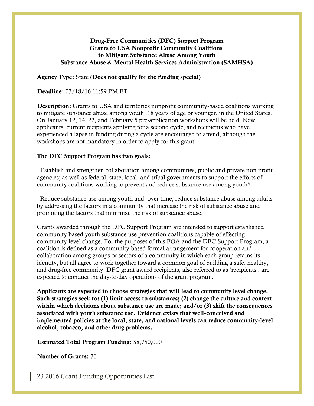#### **Drug-Free Communities (DFC) Support Program Grants to USA Nonprofit Community Coalitions to Mitigate Substance Abuse Among Youth Substance Abuse & Mental Health Services Administration (SAMHSA)**

#### **Agency Type:** State (**Does not qualify for the funding special**)

#### **Deadline:** 03/18/16 11:59 PM ET

**Description:** Grants to USA and territories nonprofit community-based coalitions working to mitigate substance abuse among youth, 18 years of age or younger, in the United States. On January 12, 14, 22, and February 5 pre-application workshops will be held. New applicants, current recipients applying for a second cycle, and recipients who have experienced a lapse in funding during a cycle are encouraged to attend, although the workshops are not mandatory in order to apply for this grant.

#### **The DFC Support Program has two goals:**

- Establish and strengthen collaboration among communities, public and private non-profit agencies; as well as federal, state, local, and tribal governments to support the efforts of community coalitions working to prevent and reduce substance use among youth\*.

- Reduce substance use among youth and, over time, reduce substance abuse among adults by addressing the factors in a community that increase the risk of substance abuse and promoting the factors that minimize the risk of substance abuse.

Grants awarded through the DFC Support Program are intended to support established community-based youth substance use prevention coalitions capable of effecting community-level change. For the purposes of this FOA and the DFC Support Program, a coalition is defined as a community-based formal arrangement for cooperation and collaboration among groups or sectors of a community in which each group retains its identity, but all agree to work together toward a common goal of building a safe, healthy, and drug-free community. DFC grant award recipients, also referred to as 'recipients', are expected to conduct the day-to-day operations of the grant program.

**Applicants are expected to choose strategies that will lead to community level change. Such strategies seek to: (1) limit access to substances; (2) change the culture and context within which decisions about substance use are made; and/or (3) shift the consequences associated with youth substance use. Evidence exists that well-conceived and implemented policies at the local, state, and national levels can reduce community-level alcohol, tobacco, and other drug problems.**

#### **Estimated Total Program Funding:** \$8,750,000

**Number of Grants:** 70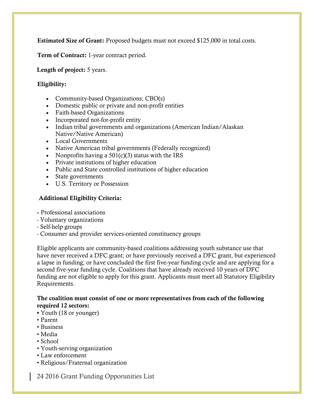**Estimated Size of Grant:** Proposed budgets must not exceed \$125,000 in total costs.

**Term of Contract:** 1-year contract period.

**Length of project:** 5 years.

#### **Eligibility:**

- Community-based Organizations; CBO(s)
- Domestic public or private and non-profit entities
- Faith-based Organizations
- Incorporated not-for-profit entity
- Indian tribal governments and organizations (American Indian/Alaskan Native/Native American)
- Local Governments
- Native American tribal governments (Federally recognized)
- Nonprofits having a  $501(c)(3)$  status with the IRS
- Private institutions of higher education
- Public and State controlled institutions of higher education
- State governments
- U.S. Territory or Possession

#### **Additional Eligibility Criteria:**

- **-** Professional associations
- Voluntary organizations
- Self-help groups
- Consumer and provider services-oriented constituency groups

Eligible applicants are community-based coalitions addressing youth substance use that have never received a DFC grant; or have previously received a DFC grant, but experienced a lapse in funding; or have concluded the first five-year funding cycle and are applying for a second five-year funding cycle. Coalitions that have already received 10 years of DFC funding are not eligible to apply for this grant. Applicants must meet all Statutory Eligibility Requirements.

#### **The coalition must consist of one or more representatives from each of the following required 12 sectors:**

- Youth (18 or younger)
- Parent
- Business
- Media
- School
- Youth-serving organization
- Law enforcement
- Religious/Fraternal organization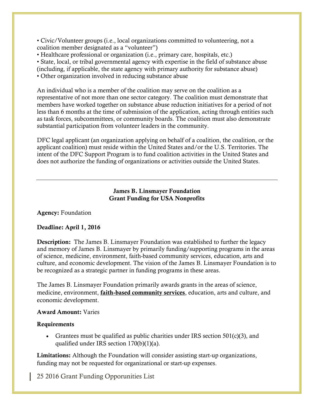• Civic/Volunteer groups (i.e., local organizations committed to volunteering, not a coalition member designated as a "volunteer")

• Healthcare professional or organization (i.e., primary care, hospitals, etc.)

• State, local, or tribal governmental agency with expertise in the field of substance abuse

(including, if applicable, the state agency with primary authority for substance abuse)

• Other organization involved in reducing substance abuse

An individual who is a member of the coalition may serve on the coalition as a representative of not more than one sector category. The coalition must demonstrate that members have worked together on substance abuse reduction initiatives for a period of not less than 6 months at the time of submission of the application, acting through entities such as task forces, subcommittees, or community boards. The coalition must also demonstrate substantial participation from volunteer leaders in the community.

DFC legal applicant (an organization applying on behalf of a coalition, the coalition, or the applicant coalition) must reside within the United States and/or the U.S. Territories. The intent of the DFC Support Program is to fund coalition activities in the United States and does not authorize the funding of organizations or activities outside the United States.

> **James B. Linsmayer Foundation Grant Funding for USA Nonprofits**

#### **Agency:** Foundation

#### **Deadline: April 1, 2016**

**Description:** The James B. Linsmayer Foundation was established to further the legacy and memory of James B. Linsmayer by primarily funding/supporting programs in the areas of science, medicine, environment, faith-based community services, education, arts and culture, and economic development. The vision of the James B. Linsmayer Foundation is to be recognized as a strategic partner in funding programs in these areas.

The James B. Linsmayer Foundation primarily awards grants in the areas of science, medicine, environment, **faith-based community services**, education, arts and culture, and economic development.

#### **Award Amount:** Varies

#### **Requirements**

Grantees must be qualified as public charities under IRS section  $501(c)(3)$ , and qualified under IRS section 170(b)(1)(a).

**Limitations:** Although the Foundation will consider assisting start-up organizations, funding may not be requested for organizational or start-up expenses.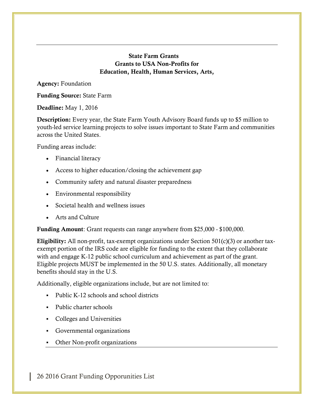#### **State Farm Grants Grants to USA Non-Profits for Education, Health, Human Services, Arts,**

**Agency:** Foundation

**Funding Source:** State Farm

**Deadline:** May 1, 2016

**Description:** Every year, the State Farm Youth Advisory Board funds up to \$5 million to youth-led service learning projects to solve issues important to State Farm and communities across the United States.

Funding areas include:

- Financial literacy
- Access to higher education/closing the achievement gap
- Community safety and natural disaster preparedness
- Environmental responsibility
- Societal health and wellness issues
- Arts and Culture

**Funding Amount**: Grant requests can range anywhere from \$25,000 - \$100,000.

**Eligibility:** All non-profit, tax-exempt organizations under Section 501(c)(3) or another taxexempt portion of the IRS code are eligible for funding to the extent that they collaborate with and engage K-12 public school curriculum and achievement as part of the grant. Eligible projects MUST be implemented in the 50 U.S. states. Additionally, all monetary benefits should stay in the U.S.

Additionally, eligible organizations include, but are not limited to:

- Public K-12 schools and school districts
- Public charter schools
- Colleges and Universities
- Governmental organizations
- Other Non-profit organizations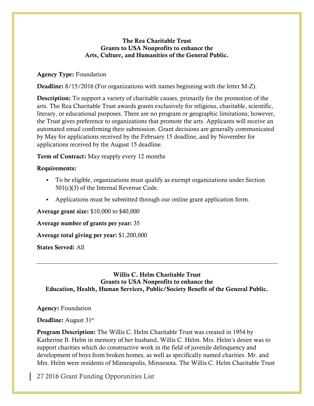#### **The Rea Charitable Trust Grants to USA Nonprofits to enhance the Arts, Culture, and Humanities of the General Public.**

#### **Agency Type:** Foundation

**Deadline:** 8/15/2016 (For organizations with names beginning with the letter M-Z).

**Description:** To support a variety of charitable causes, primarily for the promotion of the arts. The Rea Charitable Trust awards grants exclusively for religious, charitable, scientific, literary, or educational purposes. There are no program or geographic limitations; however, the Trust gives preference to organizations that promote the arts. Applicants will receive an automated email confirming their submission. Grant decisions are generally communicated by May for applications received by the February 15 deadline, and by November for applications received by the August 15 deadline.

**Term of Contract:** May reapply every 12 months

#### **Requirements:**

- To be eligible, organizations must qualify as exempt organizations under Section 501(c)(3) of the Internal Revenue Code.
- Applications must be submitted through our online grant application form.

#### **Average grant size:** \$10,000 to \$40,000

**Average number of grants per year:** 35

**Average total giving per year:** \$1,200,000

**States Served:** All

**Willis C. Helm Charitable Trust Grants to USA Nonprofits to enhance the Education, Health, Human Services, Public/Society Benefit of the General Public.**

**Agency:** Foundation

Deadline: August 31<sup>st</sup>

**Program Description:** The Willis C. Helm Charitable Trust was created in 1954 by Katherine B. Helm in memory of her husband, Willis C. Helm. Mrs. Helm's desire was to support charities which do constructive work in the field of juvenile delinquency and development of boys from broken homes, as well as specifically named charities. Mr. and Mrs. Helm were residents of Minneapolis, Minnesota. The Willis C. Helm Charitable Trust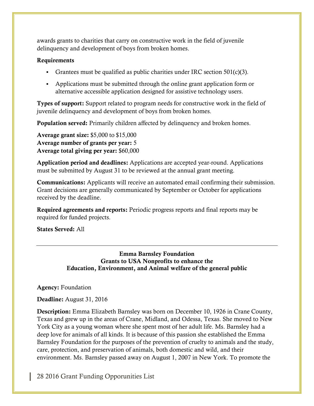awards grants to charities that carry on constructive work in the field of juvenile delinquency and development of boys from broken homes.

#### **Requirements**

- Grantees must be qualified as public charities under IRC section 501(c)(3).
- Applications must be submitted through the online grant application form or alternative accessible application designed for assistive technology users.

**Types of support:** Support related to program needs for constructive work in the field of juvenile delinquency and development of boys from broken homes.

**Population served:** Primarily children affected by delinquency and broken homes.

**Average grant size:** \$5,000 to \$15,000 **Average number of grants per year:** 5 **Average total giving per year:** \$60,000

**Application period and deadlines:** Applications are accepted year-round. Applications must be submitted by August 31 to be reviewed at the annual grant meeting.

**Communications:** Applicants will receive an automated email confirming their submission. Grant decisions are generally communicated by September or October for applications received by the deadline.

**Required agreements and reports:** Periodic progress reports and final reports may be required for funded projects.

**States Served:** All

**Emma Barnsley Foundation Grants to USA Nonprofits to enhance the Education, Environment, and Animal welfare of the general public**

**Agency:** Foundation

**Deadline:** August 31, 2016

**Description:** Emma Elizabeth Barnsley was born on December 10, 1926 in Crane County, Texas and grew up in the areas of Crane, Midland, and Odessa, Texas. She moved to New York City as a young woman where she spent most of her adult life. Ms. Barnsley had a deep love for animals of all kinds. It is because of this passion she established the Emma Barnsley Foundation for the purposes of the prevention of cruelty to animals and the study, care, protection, and preservation of animals, both domestic and wild, and their environment. Ms. Barnsley passed away on August 1, 2007 in New York. To promote the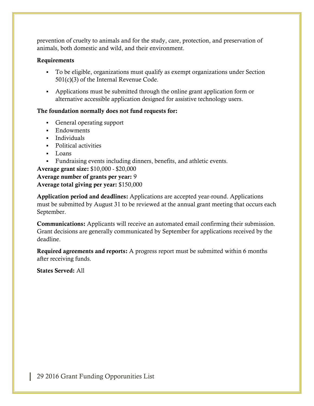prevention of cruelty to animals and for the study, care, protection, and preservation of animals, both domestic and wild, and their environment.

#### **Requirements**

- To be eligible, organizations must qualify as exempt organizations under Section 501(c)(3) of the Internal Revenue Code.
- Applications must be submitted through the online grant application form or alternative accessible application designed for assistive technology users.

#### **The foundation normally does not fund requests for:**

- General operating support
- Endowments
- **Individuals**
- **Political activities**
- $\blacksquare$  Loans
- Fundraising events including dinners, benefits, and athletic events.

**Average grant size:** \$10,000 - \$20,000 **Average number of grants per year:** 9 **Average total giving per year:** \$150,000

**Application period and deadlines:** Applications are accepted year-round. Applications must be submitted by August 31 to be reviewed at the annual grant meeting that occurs each September.

**Communications:** Applicants will receive an automated email confirming their submission. Grant decisions are generally communicated by September for applications received by the deadline.

**Required agreements and reports:** A progress report must be submitted within 6 months after receiving funds.

**States Served:** All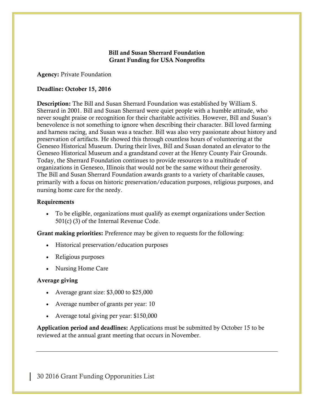#### **Bill and Susan Sherrard Foundation Grant Funding for USA Nonprofits**

**Agency:** Private Foundation

#### **Deadline: October 15, 2016**

**Description:** The Bill and Susan Sherrard Foundation was established by William S. Sherrard in 2001. Bill and Susan Sherrard were quiet people with a humble attitude, who never sought praise or recognition for their charitable activities. However, Bill and Susan's benevolence is not something to ignore when describing their character. Bill loved farming and harness racing, and Susan was a teacher. Bill was also very passionate about history and preservation of artifacts. He showed this through countless hours of volunteering at the Geneseo Historical Museum. During their lives, Bill and Susan donated an elevator to the Geneseo Historical Museum and a grandstand cover at the Henry County Fair Grounds. Today, the Sherrard Foundation continues to provide resources to a multitude of organizations in Geneseo, Illinois that would not be the same without their generosity. The Bill and Susan Sherrard Foundation awards grants to a variety of charitable causes, primarily with a focus on historic preservation/education purposes, religious purposes, and nursing home care for the needy.

#### **Requirements**

 To be eligible, organizations must qualify as exempt organizations under Section 501(c) (3) of the Internal Revenue Code.

**Grant making priorities:** Preference may be given to requests for the following:

- Historical preservation/education purposes
- Religious purposes
- Nursing Home Care

#### **Average giving**

- Average grant size: \$3,000 to \$25,000
- Average number of grants per year: 10
- Average total giving per year: \$150,000

**Application period and deadlines:** Applications must be submitted by October 15 to be reviewed at the annual grant meeting that occurs in November.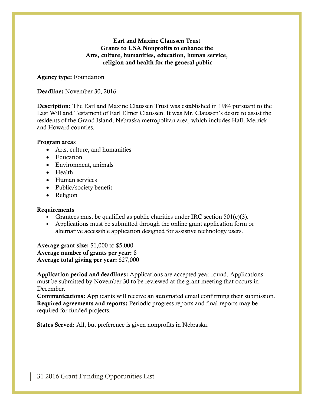#### **Earl and Maxine Claussen Trust Grants to USA Nonprofits to enhance the Arts, culture, humanities, education, human service, religion and health for the general public**

**Agency type:** Foundation

**Deadline:** November 30, 2016

**Description:** The Earl and Maxine Claussen Trust was established in 1984 pursuant to the Last Will and Testament of Earl Elmer Claussen. It was Mr. Claussen's desire to assist the residents of the Grand Island, Nebraska metropolitan area, which includes Hall, Merrick and Howard counties.

#### **Program areas**

- Arts, culture, and humanities
- Education
- Environment, animals
- Health
- Human services
- Public/society benefit
- Religion

#### **Requirements**

- Grantees must be qualified as public charities under IRC section  $501(c)(3)$ .
- Applications must be submitted through the online grant application form or alternative accessible application designed for assistive technology users.

**Average grant size:** \$1,000 to \$5,000 **Average number of grants per year:** 8 **Average total giving per year:** \$27,000

**Application period and deadlines:** Applications are accepted year-round. Applications must be submitted by November 30 to be reviewed at the grant meeting that occurs in December.

**Communications:** Applicants will receive an automated email confirming their submission. **Required agreements and reports:** Periodic progress reports and final reports may be required for funded projects.

**States Served:** All, but preference is given nonprofits in Nebraska.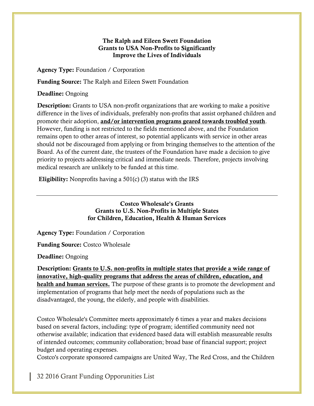#### **The Ralph and Eileen Swett Foundation Grants to USA Non-Profits to Significantly Improve the Lives of Individuals**

**Agency Type:** Foundation / Corporation

**Funding Source:** The Ralph and Eileen Swett Foundation

**Deadline:** Ongoing

**Description:** Grants to USA non-profit organizations that are working to make a positive difference in the lives of individuals, preferably non-profits that assist orphaned children and promote their adoption, **and/or intervention programs geared towards troubled youth**. However, funding is not restricted to the fields mentioned above, and the Foundation remains open to other areas of interest, so potential applicants with service in other areas should not be discouraged from applying or from bringing themselves to the attention of the Board. As of the current date, the trustees of the Foundation have made a decision to give priority to projects addressing critical and immediate needs. Therefore, projects involving medical research are unlikely to be funded at this time.

**Eligibility:** Nonprofits having a 501(c) (3) status with the IRS

**Costco Wholesale's Grants Grants to U.S. Non-Profits in Multiple States for Children, Education, Health & Human Services**

**Agency Type:** Foundation / Corporation

**Funding Source:** Costco Wholesale

**Deadline:** Ongoing

**Description: Grants to U.S. non-profits in multiple states that provide a wide range of innovative, high-quality programs that address the areas of children, education, and health and human services.** The purpose of these grants is to promote the development and implementation of programs that help meet the needs of populations such as the disadvantaged, the young, the elderly, and people with disabilities.

Costco Wholesale's Committee meets approximately 6 times a year and makes decisions based on several factors, including: type of program; identified community need not otherwise available; indication that evidenced based data will establish measureable results of intended outcomes; community collaboration; broad base of financial support; project budget and operating expenses.

Costco's corporate sponsored campaigns are United Way, The Red Cross, and the Children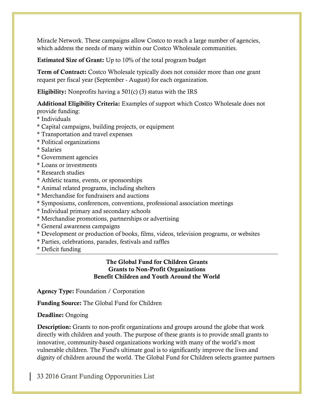Miracle Network. These campaigns allow Costco to reach a large number of agencies, which address the needs of many within our Costco Wholesale communities.

**Estimated Size of Grant:** Up to 10% of the total program budget

**Term of Contract:** Costco Wholesale typically does not consider more than one grant request per fiscal year (September - August) for each organization.

**Eligibility:** Nonprofits having a 501(c) (3) status with the IRS

**Additional Eligibility Criteria:** Examples of support which Costco Wholesale does not provide funding:

- \* Individuals
- \* Capital campaigns, building projects, or equipment
- \* Transportation and travel expenses
- \* Political organizations
- \* Salaries
- \* Government agencies
- \* Loans or investments
- \* Research studies
- \* Athletic teams, events, or sponsorships
- \* Animal related programs, including shelters
- \* Merchandise for fundraisers and auctions
- \* Symposiums, conferences, conventions, professional association meetings
- \* Individual primary and secondary schools
- \* Merchandise promotions, partnerships or advertising
- \* General awareness campaigns
- \* Development or production of books, films, videos, television programs, or websites
- \* Parties, celebrations, parades, festivals and raffles
- \* Deficit funding

#### **The Global Fund for Children Grants Grants to Non-Profit Organizations Benefit Children and Youth Around the World**

**Agency Type:** Foundation / Corporation

**Funding Source:** The Global Fund for Children

**Deadline:** Ongoing

**Description:** Grants to non-profit organizations and groups around the globe that work directly with children and youth. The purpose of these grants is to provide small grants to innovative, community-based organizations working with many of the world's most vulnerable children. The Fund's ultimate goal is to significantly improve the lives and dignity of children around the world. The Global Fund for Children selects grantee partners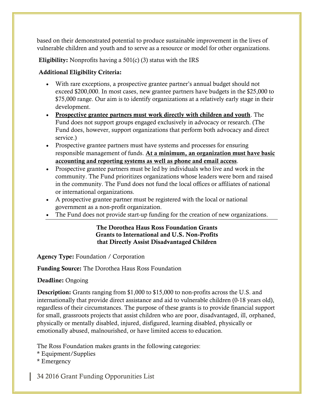based on their demonstrated potential to produce sustainable improvement in the lives of vulnerable children and youth and to serve as a resource or model for other organizations.

**Eligibility:** Nonprofits having a 501(c) (3) status with the IRS

#### **Additional Eligibility Criteria:**

- With rare exceptions, a prospective grantee partner's annual budget should not exceed \$200,000. In most cases, new grantee partners have budgets in the \$25,000 to \$75,000 range. Our aim is to identify organizations at a relatively early stage in their development.
- **Prospective grantee partners must work directly with children and youth**. The Fund does not support groups engaged exclusively in advocacy or research. (The Fund does, however, support organizations that perform both advocacy and direct service.)
- Prospective grantee partners must have systems and processes for ensuring responsible management of funds. **At a minimum, an organization must have basic accounting and reporting systems as well as phone and email access**.
- Prospective grantee partners must be led by individuals who live and work in the community. The Fund prioritizes organizations whose leaders were born and raised in the community. The Fund does not fund the local offices or affiliates of national or international organizations.
- A prospective grantee partner must be registered with the local or national government as a non-profit organization.
- The Fund does not provide start-up funding for the creation of new organizations.

#### **The Dorothea Haus Ross Foundation Grants Grants to International and U.S. Non-Profits that Directly Assist Disadvantaged Children**

**Agency Type:** Foundation / Corporation

**Funding Source:** The Dorothea Haus Ross Foundation

**Deadline:** Ongoing

**Description:** Grants ranging from \$1,000 to \$15,000 to non-profits across the U.S. and internationally that provide direct assistance and aid to vulnerable children (0-18 years old), regardless of their circumstances. The purpose of these grants is to provide financial support for small, grassroots projects that assist children who are poor, disadvantaged, ill, orphaned, physically or mentally disabled, injured, disfigured, learning disabled, physically or emotionally abused, malnourished, or have limited access to education.

The Ross Foundation makes grants in the following categories:

\* Equipment/Supplies

\* Emergency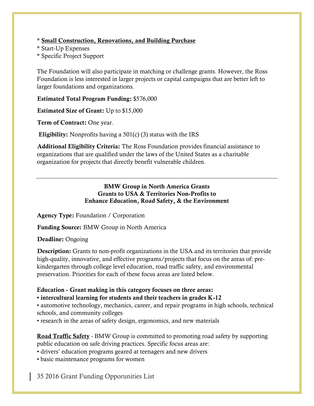\* **Small Construction, Renovations, and Building Purchase**

- \* Start-Up Expenses
- \* Specific Project Support

The Foundation will also participate in matching or challenge grants. However, the Ross Foundation is less interested in larger projects or capital campaigns that are better left to larger foundations and organizations.

**Estimated Total Program Funding:** \$576,000

**Estimated Size of Grant:** Up to \$15,000

**Term of Contract:** One year.

**Eligibility:** Nonprofits having a 501(c) (3) status with the IRS

**Additional Eligibility Criteria:** The Ross Foundation provides financial assistance to organizations that are qualified under the laws of the United States as a charitable organization for projects that directly benefit vulnerable children.

#### **BMW Group in North America Grants Grants to USA & Territories Non-Profits to Enhance Education, Road Safety, & the Environment**

**Agency Type:** Foundation / Corporation

**Funding Source:** BMW Group in North America

**Deadline:** Ongoing

**Description:** Grants to non-profit organizations in the USA and its territories that provide high-quality, innovative, and effective programs/projects that focus on the areas of: prekindergarten through college level education, road traffic safety, and environmental preservation. Priorities for each of these focus areas are listed below.

#### **Education - Grant making in this category focuses on three areas:**

#### **• intercultural learning for students and their teachers in grades K-12**

• automotive technology, mechanics, career, and repair programs in high schools, technical schools, and community colleges

• research in the areas of safety design, ergonomics, and new materials

**Road Traffic Safety** - BMW Group is committed to promoting road safety by supporting public education on safe driving practices. Specific focus areas are:

• drivers' education programs geared at teenagers and new drivers

• basic maintenance programs for women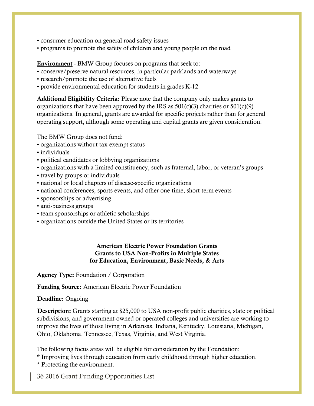- consumer education on general road safety issues
- programs to promote the safety of children and young people on the road

**Environment** - BMW Group focuses on programs that seek to:

- conserve/preserve natural resources, in particular parklands and waterways
- research/promote the use of alternative fuels
- provide environmental education for students in grades K-12

**Additional Eligibility Criteria:** Please note that the company only makes grants to organizations that have been approved by the IRS as  $501(c)(3)$  charities or  $501(c)(9)$ organizations. In general, grants are awarded for specific projects rather than for general operating support, although some operating and capital grants are given consideration.

The BMW Group does not fund:

- organizations without tax-exempt status
- individuals
- political candidates or lobbying organizations
- organizations with a limited constituency, such as fraternal, labor, or veteran's groups
- travel by groups or individuals
- national or local chapters of disease-specific organizations
- national conferences, sports events, and other one-time, short-term events
- sponsorships or advertising
- anti-business groups
- team sponsorships or athletic scholarships
- organizations outside the United States or its territories

#### **American Electric Power Foundation Grants Grants to USA Non-Profits in Multiple States for Education, Environment, Basic Needs, & Arts**

**Agency Type:** Foundation / Corporation

**Funding Source:** American Electric Power Foundation

#### **Deadline:** Ongoing

**Description:** Grants starting at \$25,000 to USA non-profit public charities, state or political subdivisions, and government-owned or operated colleges and universities are working to improve the lives of those living in Arkansas, Indiana, Kentucky, Louisiana, Michigan, Ohio, Oklahoma, Tennessee, Texas, Virginia, and West Virginia.

The following focus areas will be eligible for consideration by the Foundation:

\* Improving lives through education from early childhood through higher education.

\* Protecting the environment.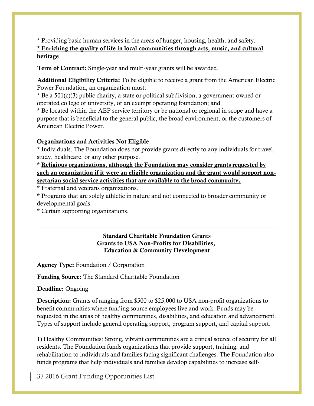\* Providing basic human services in the areas of hunger, housing, health, and safety. **\* Enriching the quality of life in local communities through arts, music, and cultural heritage**.

**Term of Contract:** Single-year and multi-year grants will be awarded.

**Additional Eligibility Criteria:** To be eligible to receive a grant from the American Electric Power Foundation, an organization must:

\* Be a 501(c)(3) public charity, a state or political subdivision, a government-owned or operated college or university, or an exempt operating foundation; and

\* Be located within the AEP service territory or be national or regional in scope and have a purpose that is beneficial to the general public, the broad environment, or the customers of American Electric Power.

# **Organizations and Activities Not Eligible**:

\* Individuals. The Foundation does not provide grants directly to any individuals for travel, study, healthcare, or any other purpose.

\* **Religious organizations, although the Foundation may consider grants requested by such an organization if it were an eligible organization and the grant would support nonsectarian social service activities that are available to the broad community.**

\* Fraternal and veterans organizations.

\* Programs that are solely athletic in nature and not connected to broader community or developmental goals.

\* Certain supporting organizations.

## **Standard Charitable Foundation Grants Grants to USA Non-Profits for Disabilities, Education & Community Development**

**Agency Type:** Foundation / Corporation

**Funding Source:** The Standard Charitable Foundation

**Deadline:** Ongoing

**Description:** Grants of ranging from \$500 to \$25,000 to USA non-profit organizations to benefit communities where funding source employees live and work. Funds may be requested in the areas of healthy communities, disabilities, and education and advancement. Types of support include general operating support, program support, and capital support.

1) Healthy Communities: Strong, vibrant communities are a critical source of security for all residents. The Foundation funds organizations that provide support, training, and rehabilitation to individuals and families facing significant challenges. The Foundation also funds programs that help individuals and families develop capabilities to increase self-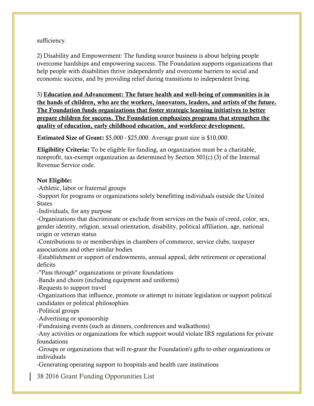## sufficiency.

2) Disability and Empowerment: The funding source business is about helping people overcome hardships and empowering success. The Foundation supports organizations that help people with disabilities thrive independently and overcome barriers to social and economic success, and by providing relief during transitions to independent living.

3) **Education and Advancement: The future health and well-being of communities is in the hands of children, who are the workers, innovators, leaders, and artists of the future. The Foundation funds organizations that foster strategic learning initiatives to better prepare children for success. The Foundation emphasizes programs that strengthen the quality of education, early childhood education, and workforce development.**

**Estimated Size of Grant:** \$5,000 - \$25,000. Average grant size is \$10,000.

**Eligibility Criteria:** To be eligible for funding, an organization must be a charitable, nonprofit, tax-exempt organization as determined by Section 501(c) (3) of the Internal Revenue Service code.

## **Not Eligible:**

-Athletic, labor or fraternal groups

-Support for programs or organizations solely benefitting individuals outside the United States

-Individuals, for any purpose

-Organizations that discriminate or exclude from services on the basis of creed, color, sex, gender identity, religion, sexual orientation, disability, political affiliation, age, national origin or veteran status

-Contributions to or memberships in chambers of commerce, service clubs, taxpayer associations and other similar bodies

-Establishment or support of endowments, annual appeal, debt retirement or operational deficits

-"Pass through" organizations or private foundations

-Bands and choirs (including equipment and uniforms)

-Requests to support travel

-Organizations that influence, promote or attempt to initiate legislation or support political candidates or political philosophies

-Political groups

-Advertising or sponsorship

-Fundraising events (such as dinners, conferences and walkathons)

-Any activities or organizations for which support would violate IRS regulations for private foundations

-Groups or organizations that will re-grant the Foundation's gifts to other organizations or individuals

-Generating operating support to hospitals and health care institutions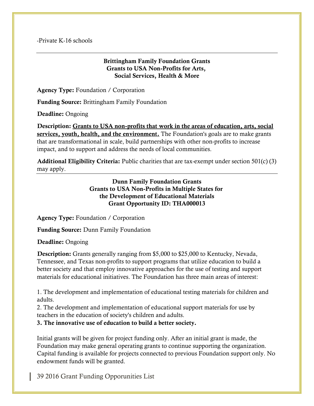-Private K-16 schools

### **Brittingham Family Foundation Grants Grants to USA Non-Profits for Arts, Social Services, Health & More**

**Agency Type:** Foundation / Corporation

**Funding Source:** Brittingham Family Foundation

**Deadline:** Ongoing

**Description: Grants to USA non-profits that work in the areas of education, arts, social services, youth, health, and the environment.** The Foundation's goals are to make grants that are transformational in scale, build partnerships with other non-profits to increase impact, and to support and address the needs of local communities.

**Additional Eligibility Criteria:** Public charities that are tax-exempt under section 501(c) (3) may apply.

> **Dunn Family Foundation Grants Grants to USA Non-Profits in Multiple States for the Development of Educational Materials Grant Opportunity ID: THA000013**

**Agency Type:** Foundation / Corporation

**Funding Source:** Dunn Family Foundation

**Deadline:** Ongoing

**Description:** Grants generally ranging from \$5,000 to \$25,000 to Kentucky, Nevada, Tennessee, and Texas non-profits to support programs that utilize education to build a better society and that employ innovative approaches for the use of testing and support materials for educational initiatives. The Foundation has three main areas of interest:

1. The development and implementation of educational testing materials for children and adults.

2. The development and implementation of educational support materials for use by teachers in the education of society's children and adults.

**3. The innovative use of education to build a better society.**

Initial grants will be given for project funding only. After an initial grant is made, the Foundation may make general operating grants to continue supporting the organization. Capital funding is available for projects connected to previous Foundation support only. No endowment funds will be granted.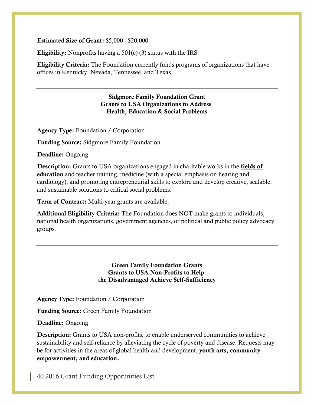#### **Estimated Size of Grant:** \$5,000 - \$20,000

**Eligibility:** Nonprofits having a 501(c) (3) status with the IRS

**Eligibility Criteria:** The Foundation currently funds programs of organizations that have offices in Kentucky, Nevada, Tennessee, and Texas.

> **Sidgmore Family Foundation Grant Grants to USA Organizations to Address Health, Education & Social Problems**

**Agency Type:** Foundation / Corporation

**Funding Source:** Sidgmore Family Foundation

**Deadline:** Ongoing

**Description:** Grants to USA organizations engaged in charitable works in the **fields of education** and teacher training, medicine (with a special emphasis on hearing and cardiology), and promoting entrepreneurial skills to explore and develop creative, scalable, and sustainable solutions to critical social problems.

**Term of Contract:** Multi-year grants are available.

**Additional Eligibility Criteria:** The Foundation does NOT make grants to individuals, national health organizations, government agencies, or political and public policy advocacy groups.

> **Green Family Foundation Grants Grants to USA Non-Profits to Help the Disadvantaged Achieve Self-Sufficiency**

**Agency Type:** Foundation / Corporation

**Funding Source:** Green Family Foundation

**Deadline:** Ongoing

**Description:** Grants to USA non-profits, to enable underserved communities to achieve sustainability and self-reliance by alleviating the cycle of poverty and disease. Requests may be for activities in the areas of global health and development, **youth arts, community empowerment, and education.**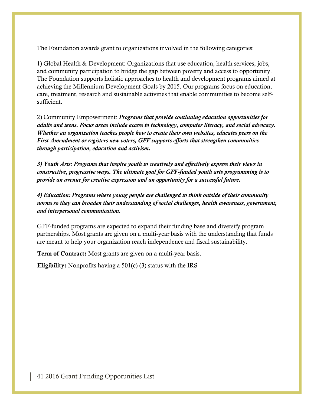The Foundation awards grant to organizations involved in the following categories:

1) Global Health & Development: Organizations that use education, health services, jobs, and community participation to bridge the gap between poverty and access to opportunity. The Foundation supports holistic approaches to health and development programs aimed at achieving the Millennium Development Goals by 2015. Our programs focus on education, care, treatment, research and sustainable activities that enable communities to become selfsufficient.

2) Community Empowerment: *Programs that provide continuing education opportunities for adults and teens. Focus areas include access to technology, computer literacy, and social advocacy. Whether an organization teaches people how to create their own websites, educates peers on the First Amendment or registers new voters, GFF supports efforts that strengthen communities through participation, education and activism.*

*3) Youth Arts: Programs that inspire youth to creatively and effectively express their views in constructive, progressive ways. The ultimate goal for GFF-funded youth arts programming is to provide an avenue for creative expression and an opportunity for a successful future.*

*4) Education: Programs where young people are challenged to think outside of their community norms so they can broaden their understanding of social challenges, health awareness, government, and interpersonal communication.*

GFF-funded programs are expected to expand their funding base and diversify program partnerships. Most grants are given on a multi-year basis with the understanding that funds are meant to help your organization reach independence and fiscal sustainability.

**Term of Contract:** Most grants are given on a multi-year basis.

**Eligibility:** Nonprofits having a 501(c) (3) status with the IRS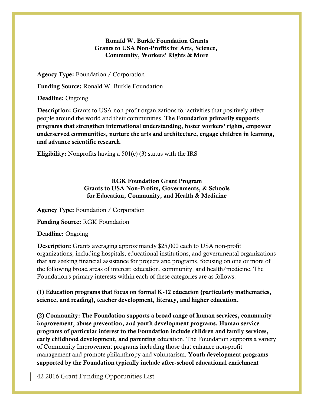### **Ronald W. Burkle Foundation Grants Grants to USA Non-Profits for Arts, Science, Community, Workers' Rights & More**

**Agency Type:** Foundation / Corporation

**Funding Source:** Ronald W. Burkle Foundation

**Deadline:** Ongoing

**Description:** Grants to USA non-profit organizations for activities that positively affect people around the world and their communities. **The Foundation primarily supports programs that strengthen international understanding, foster workers' rights, empower underserved communities, nurture the arts and architecture, engage children in learning, and advance scientific research**.

**Eligibility:** Nonprofits having a 501(c) (3) status with the IRS

## **RGK Foundation Grant Program Grants to USA Non-Profits, Governments, & Schools for Education, Community, and Health & Medicine**

**Agency Type:** Foundation / Corporation

**Funding Source:** RGK Foundation

**Deadline:** Ongoing

**Description:** Grants averaging approximately \$25,000 each to USA non-profit organizations, including hospitals, educational institutions, and governmental organizations that are seeking financial assistance for projects and programs, focusing on one or more of the following broad areas of interest: education, community, and health/medicine. The Foundation's primary interests within each of these categories are as follows:

**(1) Education programs that focus on formal K-12 education (particularly mathematics, science, and reading), teacher development, literacy, and higher education.**

**(2) Community: The Foundation supports a broad range of human services, community improvement, abuse prevention, and youth development programs. Human service programs of particular interest to the Foundation include children and family services, early childhood development, and parenting** education. The Foundation supports a variety of Community Improvement programs including those that enhance non-profit management and promote philanthropy and voluntarism. **Youth development programs supported by the Foundation typically include after-school educational enrichment**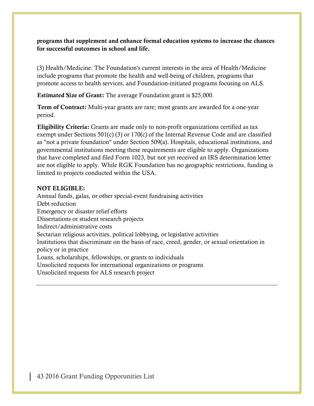**programs that supplement and enhance formal education systems to increase the chances for successful outcomes in school and life.**

(3) Health/Medicine: The Foundation's current interests in the area of Health/Medicine include programs that promote the health and well-being of children, programs that promote access to health services, and Foundation-initiated programs focusing on ALS.

**Estimated Size of Grant:** The average Foundation grant is \$25,000.

**Term of Contract:** Multi-year grants are rare; most grants are awarded for a one-year period.

**Eligibility Criteria:** Grants are made only to non-profit organizations certified as tax exempt under Sections 501(c) (3) or 170(c) of the Internal Revenue Code and are classified as "not a private foundation" under Section 509(a). Hospitals, educational institutions, and governmental institutions meeting these requirements are eligible to apply. Organizations that have completed and filed Form 1023, but not yet received an IRS determination letter are not eligible to apply. While RGK Foundation has no geographic restrictions, funding is limited to projects conducted within the USA.

### **NOT ELIGIBLE:**

Annual funds, galas, or other special-event fundraising activities Debt reduction Emergency or disaster relief efforts Dissertations or student research projects Indirect/administrative costs Sectarian religious activities, political lobbying, or legislative activities Institutions that discriminate on the basis of race, creed, gender, or sexual orientation in policy or in practice Loans, scholarships, fellowships, or grants to individuals Unsolicited requests for international organizations or programs Unsolicited requests for ALS research project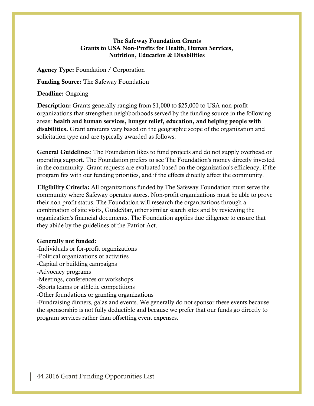### **The Safeway Foundation Grants Grants to USA Non-Profits for Health, Human Services, Nutrition, Education & Disabilities**

**Agency Type:** Foundation / Corporation

**Funding Source:** The Safeway Foundation

**Deadline:** Ongoing

**Description:** Grants generally ranging from \$1,000 to \$25,000 to USA non-profit organizations that strengthen neighborhoods served by the funding source in the following areas: **health and human services, hunger relief, education, and helping people with disabilities.** Grant amounts vary based on the geographic scope of the organization and solicitation type and are typically awarded as follows:

**General Guidelines**: The Foundation likes to fund projects and do not supply overhead or operating support. The Foundation prefers to see The Foundation's money directly invested in the community. Grant requests are evaluated based on the organization's efficiency, if the program fits with our funding priorities, and if the effects directly affect the community.

**Eligibility Criteria:** All organizations funded by The Safeway Foundation must serve the community where Safeway operates stores. Non-profit organizations must be able to prove their non-profit status. The Foundation will research the organizations through a combination of site visits, GuideStar, other similar search sites and by reviewing the organization's financial documents. The Foundation applies due diligence to ensure that they abide by the guidelines of the Patriot Act.

### **Generally not funded:**

- -Individuals or for-profit organizations
- -Political organizations or activities
- -Capital or building campaigns
- -Advocacy programs
- -Meetings, conferences or workshops
- -Sports teams or athletic competitions
- -Other foundations or granting organizations

-Fundraising dinners, galas and events. We generally do not sponsor these events because the sponsorship is not fully deductible and because we prefer that our funds go directly to program services rather than offsetting event expenses.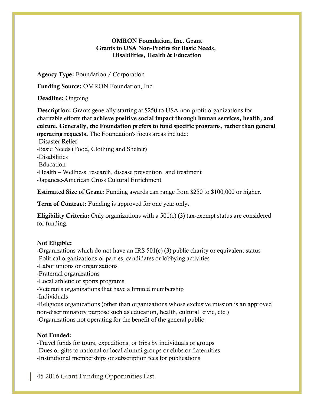## **OMRON Foundation, Inc. Grant Grants to USA Non-Profits for Basic Needs, Disabilities, Health & Education**

**Agency Type:** Foundation / Corporation

**Funding Source:** OMRON Foundation, Inc.

**Deadline:** Ongoing

**Description:** Grants generally starting at \$250 to USA non-profit organizations for charitable efforts that **achieve positive social impact through human services, health, and culture. Generally, the Foundation prefers to fund specific programs, rather than general operating requests.** The Foundation's focus areas include: -Disaster Relief -Basic Needs (Food, Clothing and Shelter) -Disabilities -Education

-Health – Wellness, research, disease prevention, and treatment

-Japanese-American Cross Cultural Enrichment

**Estimated Size of Grant:** Funding awards can range from \$250 to \$100,000 or higher.

**Term of Contract:** Funding is approved for one year only.

**Eligibility Criteria:** Only organizations with a 501(c) (3) tax-exempt status are considered for funding.

# **Not Eligible:**

-Organizations which do not have an IRS 501(c) (3) public charity or equivalent status -Political organizations or parties, candidates or lobbying activities

-Labor unions or organizations

-Fraternal organizations

-Local athletic or sports programs

-Veteran's organizations that have a limited membership

-Individuals

-Religious organizations (other than organizations whose exclusive mission is an approved non-discriminatory purpose such as education, health, cultural, civic, etc.) -Organizations not operating for the benefit of the general public

# **Not Funded:**

-Travel funds for tours, expeditions, or trips by individuals or groups -Dues or gifts to national or local alumni groups or clubs or fraternities -Institutional memberships or subscription fees for publications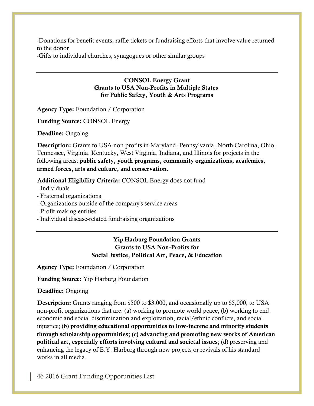-Donations for benefit events, raffle tickets or fundraising efforts that involve value returned to the donor

-Gifts to individual churches, synagogues or other similar groups

#### **CONSOL Energy Grant Grants to USA Non-Profits in Multiple States for Public Safety, Youth & Arts Programs**

**Agency Type:** Foundation / Corporation

**Funding Source:** CONSOL Energy

**Deadline:** Ongoing

**Description:** Grants to USA non-profits in Maryland, Pennsylvania, North Carolina, Ohio, Tennessee, Virginia, Kentucky, West Virginia, Indiana, and Illinois for projects in the following areas: **public safety, youth programs, community organizations, academics, armed forces, arts and culture, and conservation.**

**Additional Eligibility Criteria:** CONSOL Energy does not fund

- Individuals
- Fraternal organizations
- Organizations outside of the company's service areas
- Profit-making entities
- Individual disease-related fundraising organizations

# **Yip Harburg Foundation Grants Grants to USA Non-Profits for Social Justice, Political Art, Peace, & Education**

**Agency Type:** Foundation / Corporation

**Funding Source:** Yip Harburg Foundation

**Deadline:** Ongoing

**Description:** Grants ranging from \$500 to \$3,000, and occasionally up to \$5,000, to USA non-profit organizations that are: (a) working to promote world peace, (b) working to end economic and social discrimination and exploitation, racial/ethnic conflicts, and social injustice; (b) **providing educational opportunities to low-income and minority students through scholarship opportunities; (c) advancing and promoting new works of American political art, especially efforts involving cultural and societal issues**; (d) preserving and enhancing the legacy of E.Y. Harburg through new projects or revivals of his standard works in all media.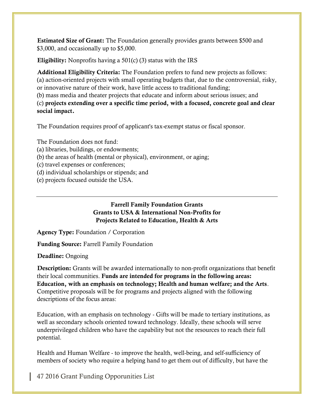**Estimated Size of Grant:** The Foundation generally provides grants between \$500 and \$3,000, and occasionally up to \$5,000.

**Eligibility:** Nonprofits having a 501(c) (3) status with the IRS

**Additional Eligibility Criteria:** The Foundation prefers to fund new projects as follows: (a) action-oriented projects with small operating budgets that, due to the controversial, risky, or innovative nature of their work, have little access to traditional funding;

(b) mass media and theater projects that educate and inform about serious issues; and (c) **projects extending over a specific time period, with a focused, concrete goal and clear social impact.**

The Foundation requires proof of applicant's tax-exempt status or fiscal sponsor.

The Foundation does not fund:

- (a) libraries, buildings, or endowments;
- (b) the areas of health (mental or physical), environment, or aging;

(c) travel expenses or conferences;

(d) individual scholarships or stipends; and

(e) projects focused outside the USA.

## **Farrell Family Foundation Grants Grants to USA & International Non-Profits for Projects Related to Education, Health & Arts**

**Agency Type:** Foundation / Corporation

**Funding Source:** Farrell Family Foundation

**Deadline:** Ongoing

**Description:** Grants will be awarded internationally to non-profit organizations that benefit their local communities. **Funds are intended for programs in the following areas: Education, with an emphasis on technology; Health and human welfare; and the Arts**. Competitive proposals will be for programs and projects aligned with the following descriptions of the focus areas:

Education, with an emphasis on technology - Gifts will be made to tertiary institutions, as well as secondary schools oriented toward technology. Ideally, these schools will serve underprivileged children who have the capability but not the resources to reach their full potential.

Health and Human Welfare - to improve the health, well-being, and self-sufficiency of members of society who require a helping hand to get them out of difficulty, but have the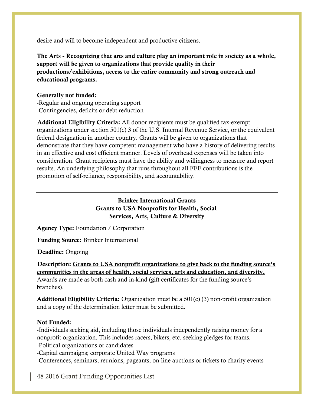desire and will to become independent and productive citizens.

**The Arts - Recognizing that arts and culture play an important role in society as a whole, support will be given to organizations that provide quality in their productions/exhibitions, access to the entire community and strong outreach and educational programs.**

## **Generally not funded:**

-Regular and ongoing operating support -Contingencies, deficits or debt reduction

**Additional Eligibility Criteria:** All donor recipients must be qualified tax-exempt organizations under section 501(c) 3 of the U.S. Internal Revenue Service, or the equivalent federal designation in another country. Grants will be given to organizations that demonstrate that they have competent management who have a history of delivering results in an effective and cost efficient manner. Levels of overhead expenses will be taken into consideration. Grant recipients must have the ability and willingness to measure and report results. An underlying philosophy that runs throughout all FFF contributions is the promotion of self-reliance, responsibility, and accountability.

# **Brinker International Grants Grants to USA Nonprofits for Health, Social Services, Arts, Culture & Diversity**

**Agency Type:** Foundation / Corporation

**Funding Source:** Brinker International

**Deadline:** Ongoing

**Description: Grants to USA nonprofit organizations to give back to the funding source's communities in the areas of health, social services, arts and education, and diversity.** Awards are made as both cash and in-kind (gift certificates for the funding source's branches).

**Additional Eligibility Criteria:** Organization must be a 501(c) (3) non-profit organization and a copy of the determination letter must be submitted.

### **Not Funded:**

-Individuals seeking aid, including those individuals independently raising money for a nonprofit organization. This includes racers, bikers, etc. seeking pledges for teams. -Political organizations or candidates

-Capital campaigns; corporate United Way programs

-Conferences, seminars, reunions, pageants, on-line auctions or tickets to charity events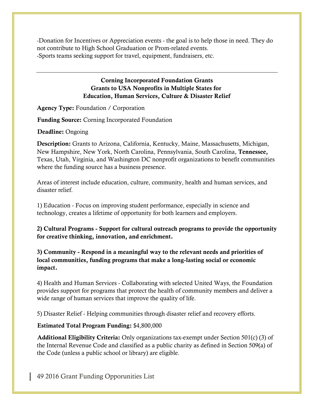-Donation for Incentives or Appreciation events - the goal is to help those in need. They do not contribute to High School Graduation or Prom-related events. -Sports teams seeking support for travel, equipment, fundraisers, etc.

## **Corning Incorporated Foundation Grants Grants to USA Nonprofits in Multiple States for Education, Human Services, Culture & Disaster Relief**

**Agency Type:** Foundation / Corporation

**Funding Source:** Corning Incorporated Foundation

**Deadline:** Ongoing

**Description:** Grants to Arizona, California, Kentucky, Maine, Massachusetts, Michigan, New Hampshire, New York, North Carolina, Pennsylvania, South Carolina, **Tennessee,** Texas, Utah, Virginia, and Washington DC nonprofit organizations to benefit communities where the funding source has a business presence.

Areas of interest include education, culture, community, health and human services, and disaster relief.

1) Education - Focus on improving student performance, especially in science and technology, creates a lifetime of opportunity for both learners and employers.

**2) Cultural Programs - Support for cultural outreach programs to provide the opportunity for creative thinking, innovation, and enrichment.**

**3) Community - Respond in a meaningful way to the relevant needs and priorities of local communities, funding programs that make a long-lasting social or economic impact.**

4) Health and Human Services - Collaborating with selected United Ways, the Foundation provides support for programs that protect the health of community members and deliver a wide range of human services that improve the quality of life.

5) Disaster Relief - Helping communities through disaster relief and recovery efforts.

### **Estimated Total Program Funding:** \$4,800,000

**Additional Eligibility Criteria:** Only organizations tax-exempt under Section 501(c) (3) of the Internal Revenue Code and classified as a public charity as defined in Section 509(a) of the Code (unless a public school or library) are eligible.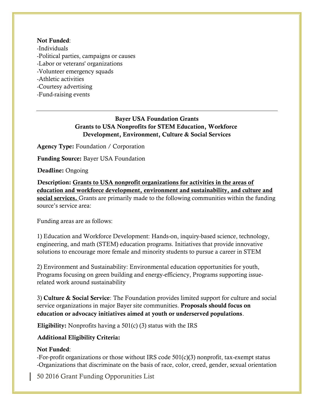#### **Not Funded**:

-Individuals -Political parties, campaigns or causes -Labor or veterans' organizations -Volunteer emergency squads -Athletic activities -Courtesy advertising -Fund-raising events

# **Bayer USA Foundation Grants Grants to USA Nonprofits for STEM Education, Workforce Development, Environment, Culture & Social Services**

**Agency Type:** Foundation / Corporation

**Funding Source:** Bayer USA Foundation

**Deadline:** Ongoing

**Description: Grants to USA nonprofit organizations for activities in the areas of education and workforce development, environment and sustainability, and culture and social services.** Grants are primarily made to the following communities within the funding source's service area:

Funding areas are as follows:

1) Education and Workforce Development: Hands-on, inquiry-based science, technology, engineering, and math (STEM) education programs. Initiatives that provide innovative solutions to encourage more female and minority students to pursue a career in STEM

2) Environment and Sustainability: Environmental education opportunities for youth, Programs focusing on green building and energy-efficiency, Programs supporting issuerelated work around sustainability

3) **Culture & Social Service**: The Foundation provides limited support for culture and social service organizations in major Bayer site communities. **Proposals should focus on education or advocacy initiatives aimed at youth or underserved populations**.

**Eligibility:** Nonprofits having a 501(c) (3) status with the IRS

### **Additional Eligibility Criteria:**

#### **Not Funded**:

-For-profit organizations or those without IRS code 501(c)(3) nonprofit, tax-exempt status -Organizations that discriminate on the basis of race, color, creed, gender, sexual orientation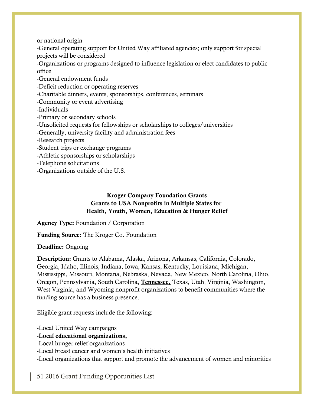or national origin

-General operating support for United Way affiliated agencies; only support for special projects will be considered

-Organizations or programs designed to influence legislation or elect candidates to public office

-General endowment funds

-Deficit reduction or operating reserves

-Charitable dinners, events, sponsorships, conferences, seminars

-Community or event advertising

-Individuals

-Primary or secondary schools

-Unsolicited requests for fellowships or scholarships to colleges/universities

-Generally, university facility and administration fees

-Research projects

-Student trips or exchange programs

-Athletic sponsorships or scholarships

-Telephone solicitations

-Organizations outside of the U.S.

## **Kroger Company Foundation Grants Grants to USA Nonprofits in Multiple States for Health, Youth, Women, Education & Hunger Relief**

**Agency Type:** Foundation / Corporation

**Funding Source:** The Kroger Co. Foundation

**Deadline:** Ongoing

**Description:** Grants to Alabama, Alaska, Arizona, Arkansas, California, Colorado, Georgia, Idaho, Illinois, Indiana, Iowa, Kansas, Kentucky, Louisiana, Michigan, Mississippi, Missouri, Montana, Nebraska, Nevada, New Mexico, North Carolina, Ohio, Oregon, Pennsylvania, South Carolina, **Tennessee,** Texas, Utah, Virginia, Washington, West Virginia, and Wyoming nonprofit organizations to benefit communities where the funding source has a business presence.

Eligible grant requests include the following:

-Local United Way campaigns

# -**Local educational organizations,**

-Local hunger relief organizations

-Local breast cancer and women's health initiatives

-Local organizations that support and promote the advancement of women and minorities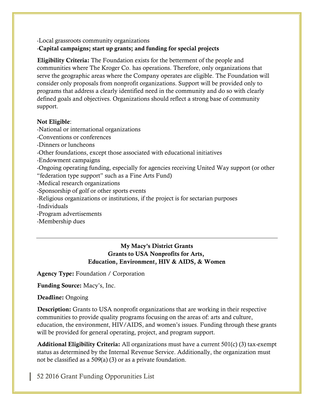# -Local grassroots community organizations -**Capital campaigns; start up grants; and funding for special projects**

**Eligibility Criteria:** The Foundation exists for the betterment of the people and communities where The Kroger Co. has operations. Therefore, only organizations that serve the geographic areas where the Company operates are eligible. The Foundation will consider only proposals from nonprofit organizations. Support will be provided only to programs that address a clearly identified need in the community and do so with clearly defined goals and objectives. Organizations should reflect a strong base of community support.

# **Not Eligible**:

-National or international organizations

-Conventions or conferences

-Dinners or luncheons

-Other foundations, except those associated with educational initiatives

-Endowment campaigns

-Ongoing operating funding, especially for agencies receiving United Way support (or other "federation type support" such as a Fine Arts Fund)

-Medical research organizations

-Sponsorship of golf or other sports events

-Religious organizations or institutions, if the project is for sectarian purposes

-Individuals

-Program advertisements

-Membership dues

**My Macy's District Grants Grants to USA Nonprofits for Arts, Education, Environment, HIV & AIDS, & Women** 

**Agency Type:** Foundation / Corporation

**Funding Source:** Macy's, Inc.

**Deadline:** Ongoing

**Description:** Grants to USA nonprofit organizations that are working in their respective communities to provide quality programs focusing on the areas of: arts and culture, education, the environment, HIV/AIDS, and women's issues. Funding through these grants will be provided for general operating, project, and program support.

**Additional Eligibility Criteria:** All organizations must have a current 501(c) (3) tax-exempt status as determined by the Internal Revenue Service. Additionally, the organization must not be classified as a 509(a) (3) or as a private foundation.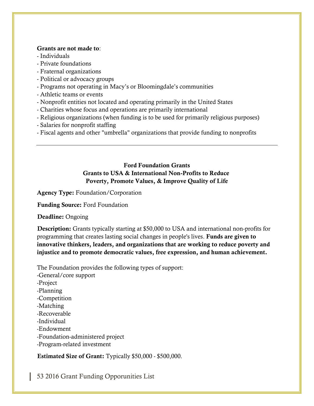#### **Grants are not made to**:

- Individuals
- Private foundations
- Fraternal organizations
- Political or advocacy groups
- Programs not operating in Macy's or Bloomingdale's communities
- Athletic teams or events
- Nonprofit entities not located and operating primarily in the United States
- Charities whose focus and operations are primarily international
- Religious organizations (when funding is to be used for primarily religious purposes)
- Salaries for nonprofit staffing
- Fiscal agents and other "umbrella" organizations that provide funding to nonprofits

## **Ford Foundation Grants Grants to USA & International Non-Profits to Reduce Poverty, Promote Values, & Improve Quality of Life**

**Agency Type:** Foundation/Corporation

**Funding Source:** Ford Foundation

**Deadline:** Ongoing

**Description:** Grants typically starting at \$50,000 to USA and international non-profits for programming that creates lasting social changes in people's lives. **Funds are given to innovative thinkers, leaders, and organizations that are working to reduce poverty and injustice and to promote democratic values, free expression, and human achievement.**

The Foundation provides the following types of support:

-General/core support -Project -Planning -Competition -Matching -Recoverable -Individual -Endowment -Foundation-administered project -Program-related investment

**Estimated Size of Grant:** Typically \$50,000 - \$500,000.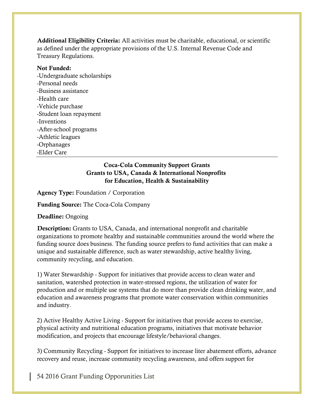**Additional Eligibility Criteria:** All activities must be charitable, educational, or scientific as defined under the appropriate provisions of the U.S. Internal Revenue Code and Treasury Regulations.

### **Not Funded:**

-Undergraduate scholarships -Personal needs -Business assistance -Health care -Vehicle purchase -Student loan repayment -Inventions -After-school programs -Athletic leagues -Orphanages -Elder Care

## **Coca-Cola Community Support Grants Grants to USA, Canada & International Nonprofits for Education, Health & Sustainability**

**Agency Type:** Foundation / Corporation

**Funding Source:** The Coca-Cola Company

**Deadline:** Ongoing

**Description:** Grants to USA, Canada, and international nonprofit and charitable organizations to promote healthy and sustainable communities around the world where the funding source does business. The funding source prefers to fund activities that can make a unique and sustainable difference, such as water stewardship, active healthy living, community recycling, and education.

1) Water Stewardship - Support for initiatives that provide access to clean water and sanitation, watershed protection in water-stressed regions, the utilization of water for production and or multiple use systems that do more than provide clean drinking water, and education and awareness programs that promote water conservation within communities and industry.

2) Active Healthy Active Living - Support for initiatives that provide access to exercise, physical activity and nutritional education programs, initiatives that motivate behavior modification, and projects that encourage lifestyle/behavioral changes.

3) Community Recycling - Support for initiatives to increase liter abatement efforts, advance recovery and reuse, increase community recycling awareness, and offers support for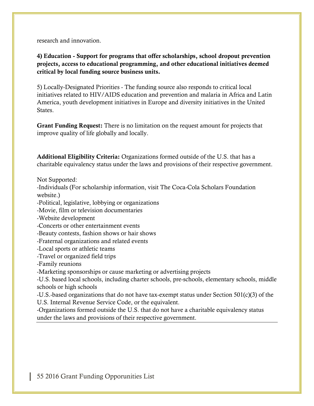research and innovation.

**4) Education - Support for programs that offer scholarships, school dropout prevention projects, access to educational programming, and other educational initiatives deemed critical by local funding source business units.**

5) Locally-Designated Priorities - The funding source also responds to critical local initiatives related to HIV/AIDS education and prevention and malaria in Africa and Latin America, youth development initiatives in Europe and diversity initiatives in the United States.

**Grant Funding Request:** There is no limitation on the request amount for projects that improve quality of life globally and locally.

**Additional Eligibility Criteria:** Organizations formed outside of the U.S. that has a charitable equivalency status under the laws and provisions of their respective government.

Not Supported:

-Individuals (For scholarship information, visit The Coca-Cola Scholars Foundation website.)

-Political, legislative, lobbying or organizations

-Movie, film or television documentaries

-Website development

-Concerts or other entertainment events

-Beauty contests, fashion shows or hair shows

-Fraternal organizations and related events

-Local sports or athletic teams

-Travel or organized field trips

-Family reunions

-Marketing sponsorships or cause marketing or advertising projects

-U.S. based local schools, including charter schools, pre-schools, elementary schools, middle schools or high schools

-U.S.-based organizations that do not have tax-exempt status under Section 501(c)(3) of the U.S. Internal Revenue Service Code, or the equivalent.

-Organizations formed outside the U.S. that do not have a charitable equivalency status under the laws and provisions of their respective government.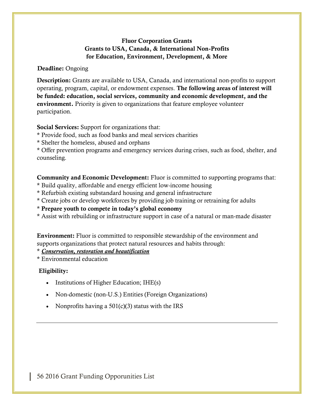## **Fluor Corporation Grants Grants to USA, Canada, & International Non-Profits for Education, Environment, Development, & More**

#### **Deadline:** Ongoing

**Description:** Grants are available to USA, Canada, and international non-profits to support operating, program, capital, or endowment expenses. **The following areas of interest will be funded: education, social services, community and economic development, and the environment.** Priority is given to organizations that feature employee volunteer participation.

**Social Services:** Support for organizations that:

- \* Provide food, such as food banks and meal services charities
- \* Shelter the homeless, abused and orphans

\* Offer prevention programs and emergency services during crises, such as food, shelter, and counseling.

**Community and Economic Development:** Fluor is committed to supporting programs that:

- \* Build quality, affordable and energy efficient low-income housing
- \* Refurbish existing substandard housing and general infrastructure
- \* Create jobs or develop workforces by providing job training or retraining for adults

\* **Prepare youth to compete in today's global economy**

\* Assist with rebuilding or infrastructure support in case of a natural or man-made disaster

**Environment:** Fluor is committed to responsible stewardship of the environment and supports organizations that protect natural resources and habits through:

\* *Conservation, restoration and beautification*

\* Environmental education

# **Eligibility:**

- Institutions of Higher Education; IHE(s)
- Non-domestic (non-U.S.) Entities (Foreign Organizations)
- Nonprofits having a  $501(c)(3)$  status with the IRS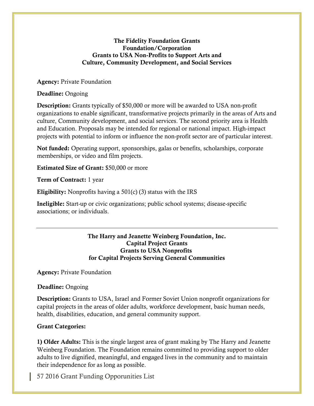### **The Fidelity Foundation Grants Foundation/Corporation Grants to USA Non-Profits to Support Arts and Culture, Community Development, and Social Services**

**Agency:** Private Foundation

**Deadline:** Ongoing

**Description:** Grants typically of \$50,000 or more will be awarded to USA non-profit organizations to enable significant, transformative projects primarily in the areas of Arts and culture, Community development, and social services. The second priority area is Health and Education. Proposals may be intended for regional or national impact. High-impact projects with potential to inform or influence the non-profit sector are of particular interest.

**Not funded:** Operating support, sponsorships, galas or benefits, scholarships, corporate memberships, or video and film projects.

**Estimated Size of Grant:** \$50,000 or more

**Term of Contract:** 1 year

**Eligibility:** Nonprofits having a 501(c) (3) status with the IRS

**Ineligible:** Start-up or civic organizations; public school systems; disease-specific associations; or individuals.

### **The Harry and Jeanette Weinberg Foundation, Inc. Capital Project Grants Grants to USA Nonprofits for Capital Projects Serving General Communities**

**Agency:** Private Foundation

**Deadline:** Ongoing

**Description:** Grants to USA, Israel and Former Soviet Union nonprofit organizations for capital projects in the areas of older adults, workforce development, basic human needs, health, disabilities, education, and general community support.

# **Grant Categories:**

**1) Older Adults:** This is the single largest area of grant making by The Harry and Jeanette Weinberg Foundation. The Foundation remains committed to providing support to older adults to live dignified, meaningful, and engaged lives in the community and to maintain their independence for as long as possible.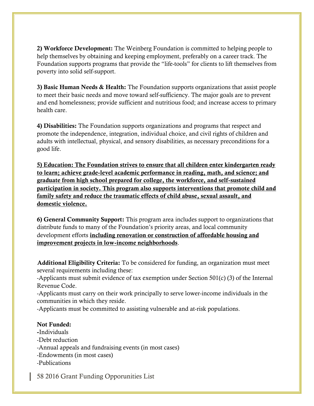**2) Workforce Development:** The Weinberg Foundation is committed to helping people to help themselves by obtaining and keeping employment, preferably on a career track. The Foundation supports programs that provide the "life-tools" for clients to lift themselves from poverty into solid self-support.

**3) Basic Human Needs & Health:** The Foundation supports organizations that assist people to meet their basic needs and move toward self-sufficiency. The major goals are to prevent and end homelessness; provide sufficient and nutritious food; and increase access to primary health care.

**4) Disabilities:** The Foundation supports organizations and programs that respect and promote the independence, integration, individual choice, and civil rights of children and adults with intellectual, physical, and sensory disabilities, as necessary preconditions for a good life.

**5) Education: The Foundation strives to ensure that all children enter kindergarten ready to learn; achieve grade-level academic performance in reading, math, and science; and graduate from high school prepared for college, the workforce, and self-sustained participation in society. This program also supports interventions that promote child and family safety and reduce the traumatic effects of child abuse, sexual assault, and domestic violence.**

**6) General Community Support:** This program area includes support to organizations that distribute funds to many of the Foundation's priority areas, and local community development efforts **including renovation or construction of affordable housing and improvement projects in low-income neighborhoods**.

**Additional Eligibility Criteria:** To be considered for funding, an organization must meet several requirements including these:

-Applicants must submit evidence of tax exemption under Section 501(c) (3) of the Internal Revenue Code.

-Applicants must carry on their work principally to serve lower-income individuals in the communities in which they reside.

-Applicants must be committed to assisting vulnerable and at-risk populations.

# **Not Funded:**

**-**Individuals -Debt reduction -Annual appeals and fundraising events (in most cases) -Endowments (in most cases) -Publications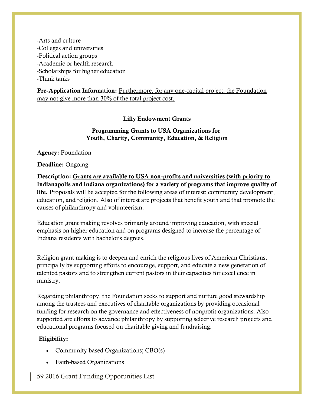-Arts and culture -Colleges and universities -Political action groups -Academic or health research -Scholarships for higher education -Think tanks

**Pre-Application Information:** Furthermore, for any one-capital project, the Foundation may not give more than 30% of the total project cost.

## **Lilly Endowment Grants**

## **Programming Grants to USA Organizations for Youth, Charity, Community, Education, & Religion**

**Agency:** Foundation

**Deadline:** Ongoing

**Description: Grants are available to USA non-profits and universities (with priority to Indianapolis and Indiana organizations) for a variety of programs that improve quality of life.** Proposals will be accepted for the following areas of interest: community development, education, and religion. Also of interest are projects that benefit youth and that promote the causes of philanthropy and volunteerism.

Education grant making revolves primarily around improving education, with special emphasis on higher education and on programs designed to increase the percentage of Indiana residents with bachelor's degrees.

Religion grant making is to deepen and enrich the religious lives of American Christians, principally by supporting efforts to encourage, support, and educate a new generation of talented pastors and to strengthen current pastors in their capacities for excellence in ministry.

Regarding philanthropy, the Foundation seeks to support and nurture good stewardship among the trustees and executives of charitable organizations by providing occasional funding for research on the governance and effectiveness of nonprofit organizations. Also supported are efforts to advance philanthropy by supporting selective research projects and educational programs focused on charitable giving and fundraising.

# **Eligibility:**

- Community-based Organizations; CBO(s)
- Faith-based Organizations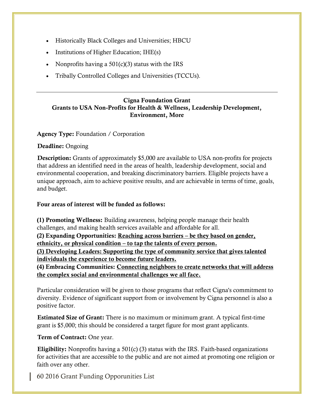- Historically Black Colleges and Universities; HBCU
- $\bullet$  Institutions of Higher Education; IHE(s)
- Nonprofits having a  $501(c)(3)$  status with the IRS
- Tribally Controlled Colleges and Universities (TCCUs).

## **Cigna Foundation Grant Grants to USA Non-Profits for Health & Wellness, Leadership Development, Environment, More**

### **Agency Type:** Foundation / Corporation

#### **Deadline:** Ongoing

**Description:** Grants of approximately \$5,000 are available to USA non-profits for projects that address an identified need in the areas of health, leadership development, social and environmental cooperation, and breaking discriminatory barriers. Eligible projects have a unique approach, aim to achieve positive results, and are achievable in terms of time, goals, and budget.

**Four areas of interest will be funded as follows:** 

**(1) Promoting Wellness:** Building awareness, helping people manage their health challenges, and making health services available and affordable for all. **(2) Expanding Opportunities: Reaching across barriers – be they based on gender, ethnicity, or physical condition – to tap the talents of every person. (3) Developing Leaders: Supporting the type of community service that gives talented individuals the experience to become future leaders.**

**(4) Embracing Communities: Connecting neighbors to create networks that will address the complex social and environmental challenges we all face.**

Particular consideration will be given to those programs that reflect Cigna's commitment to diversity. Evidence of significant support from or involvement by Cigna personnel is also a positive factor.

**Estimated Size of Grant:** There is no maximum or minimum grant. A typical first-time grant is \$5,000; this should be considered a target figure for most grant applicants.

**Term of Contract:** One year.

**Eligibility:** Nonprofits having a 501(c) (3) status with the IRS. Faith-based organizations for activities that are accessible to the public and are not aimed at promoting one religion or faith over any other.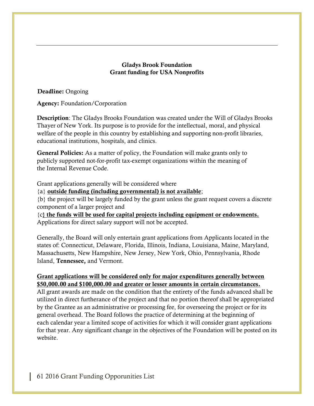### **Gladys Brook Foundation Grant funding for USA Nonprofits**

**Deadline:** Ongoing

**Agency:** Foundation/Corporation

**Description**: The Gladys Brooks Foundation was created under the Will of Gladys Brooks Thayer of New York. Its purpose is to provide for the intellectual, moral, and physical welfare of the people in this country by establishing and supporting non-profit libraries, educational institutions, hospitals, and clinics.

**General Policies:** As a matter of policy, the Foundation will make grants only to publicly supported not-for-profit tax-exempt organizations within the meaning of the Internal Revenue Code.

Grant applications generally will be considered where

{a} **outside funding (including governmental) is not available**;

{b} the project will be largely funded by the grant unless the grant request covers a discrete component of a larger project and

{c**} the funds will be used for capital projects including equipment or endowments.** Applications for direct salary support will not be accepted.

Generally, the Board will only entertain grant applications from Applicants located in the states of: Connecticut, Delaware, Florida, Illinois, Indiana, Louisiana, Maine, Maryland, Massachusetts, New Hampshire, New Jersey, New York, Ohio, Pennsylvania, Rhode Island, **Tennessee,** and Vermont.

## **Grant applications will be considered only for major expenditures generally between \$50,000.00 and \$100,000.00 and greater or lesser amounts in certain circumstances.**

All grant awards are made on the condition that the entirety of the funds advanced shall be utilized in direct furtherance of the project and that no portion thereof shall be appropriated by the Grantee as an administrative or processing fee, for overseeing the project or for its general overhead. The Board follows the practice of determining at the beginning of each calendar year a limited scope of activities for which it will consider grant applications for that year. Any significant change in the objectives of the Foundation will be posted on its website.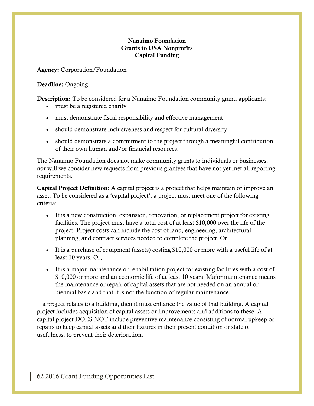## **Nanaimo Foundation Grants to USA Nonprofits Capital Funding**

**Agency:** Corporation/Foundation

# **Deadline:** Ongoing

**Description:** To be considered for a Nanaimo Foundation community grant, applicants:

- must be a registered charity
- must demonstrate fiscal responsibility and effective management
- should demonstrate inclusiveness and respect for cultural diversity
- should demonstrate a commitment to the project through a meaningful contribution of their own human and/or financial resources.

The Nanaimo Foundation does not make community grants to individuals or businesses, nor will we consider new requests from previous grantees that have not yet met all reporting requirements.

**Capital Project Definition**: A capital project is a project that helps maintain or improve an asset. To be considered as a 'capital project', a project must meet one of the following criteria:

- It is a new construction, expansion, renovation, or replacement project for existing facilities. The project must have a total cost of at least \$10,000 over the life of the project. Project costs can include the cost of land, engineering, architectural planning, and contract services needed to complete the project. Or,
- It is a purchase of equipment (assets) costing \$10,000 or more with a useful life of at least 10 years. Or,
- It is a major maintenance or rehabilitation project for existing facilities with a cost of \$10,000 or more and an economic life of at least 10 years. Major maintenance means the maintenance or repair of capital assets that are not needed on an annual or biennial basis and that it is not the function of regular maintenance.

If a project relates to a building, then it must enhance the value of that building. A capital project includes acquisition of capital assets or improvements and additions to these. A capital project DOES NOT include preventive maintenance consisting of normal upkeep or repairs to keep capital assets and their fixtures in their present condition or state of usefulness, to prevent their deterioration.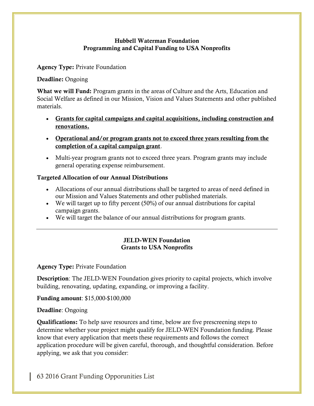## **Hubbell Waterman Foundation Programming and Capital Funding to USA Nonprofits**

**Agency Type:** Private Foundation

#### **Deadline:** Ongoing

**What we will Fund:** Program grants in the areas of Culture and the Arts, Education and Social Welfare as defined in our Mission, Vision and Values Statements and other published materials.

- **Grants for capital campaigns and capital acquisitions, including construction and renovations.**
- **Operational and/or program grants not to exceed three years resulting from the completion of a capital campaign grant**.
- Multi-year program grants not to exceed three years. Program grants may include general operating expense reimbursement.

## **Targeted Allocation of our Annual Distributions**

- Allocations of our annual distributions shall be targeted to areas of need defined in our Mission and Values Statements and other published materials.
- We will target up to fifty percent  $(50\%)$  of our annual distributions for capital campaign grants.
- We will target the balance of our annual distributions for program grants.

### **JELD-WEN Foundation Grants to USA Nonprofits**

### **Agency Type:** Private Foundation

**Description**: The JELD-WEN Foundation gives priority to capital projects, which involve building, renovating, updating, expanding, or improving a facility.

**Funding amount**: \$15,000-\$100,000

### **Deadline**: Ongoing

**Qualifications:** To help save resources and time, below are five prescreening steps to determine whether your project might qualify for JELD-WEN Foundation funding. Please know that every application that meets these requirements and follows the correct application procedure will be given careful, thorough, and thoughtful consideration. Before applying, we ask that you consider: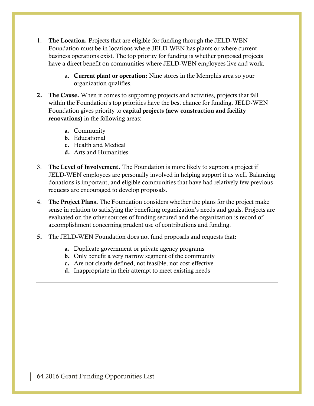- 1. **The Location.** Projects that are eligible for funding through the JELD-WEN Foundation must be in locations where JELD-WEN has plants or where current business operations exist. The top priority for funding is whether proposed projects have a direct benefit on communities where JELD-WEN employees live and work.
	- a. **Current plant or operation:** Nine stores in the Memphis area so your organization qualifies.
- **2. The Cause.** When it comes to supporting projects and activities, projects that fall within the Foundation's top priorities have the best chance for funding. JELD-WEN Foundation gives priority to **capital projects (new construction and facility renovations)** in the following areas:
	- **a.** Community
	- **b.** Educational
	- **c.** Health and Medical
	- **d.** Arts and Humanities
- 3. **The Level of Involvement.** The Foundation is more likely to support a project if JELD-WEN employees are personally involved in helping support it as well. Balancing donations is important, and eligible communities that have had relatively few previous requests are encouraged to develop proposals.
- 4. **The Project Plans.** The Foundation considers whether the plans for the project make sense in relation to satisfying the benefiting organization's needs and goals. Projects are evaluated on the other sources of funding secured and the organization is record of accomplishment concerning prudent use of contributions and funding.
- **5.** The JELD-WEN Foundation does not fund proposals and requests that**:**
	- **a.** Duplicate government or private agency programs
	- **b.** Only benefit a very narrow segment of the community
	- **c.** Are not clearly defined, not feasible, not cost-effective
	- **d.** Inappropriate in their attempt to meet existing needs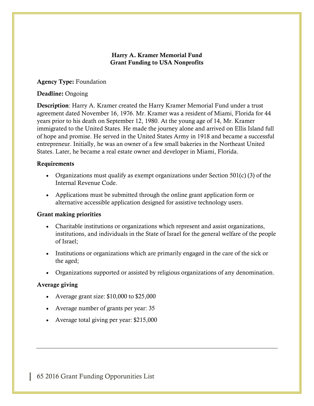## **Harry A. Kramer Memorial Fund Grant Funding to USA Nonprofits**

### **Agency Type:** Foundation

### **Deadline:** Ongoing

**Description**: Harry A. Kramer created the Harry Kramer Memorial Fund under a trust agreement dated November 16, 1976. Mr. Kramer was a resident of Miami, Florida for 44 years prior to his death on September 12, 1980. At the young age of 14, Mr. Kramer immigrated to the United States. He made the journey alone and arrived on Ellis Island full of hope and promise. He served in the United States Army in 1918 and became a successful entrepreneur. Initially, he was an owner of a few small bakeries in the Northeast United States. Later, he became a real estate owner and developer in Miami, Florida.

## **Requirements**

- Organizations must qualify as exempt organizations under Section  $501(c)$  (3) of the Internal Revenue Code.
- Applications must be submitted through the online grant application form or alternative accessible application designed for assistive technology users.

# **Grant making priorities**

- Charitable institutions or organizations which represent and assist organizations, institutions, and individuals in the State of Israel for the general welfare of the people of Israel;
- Institutions or organizations which are primarily engaged in the care of the sick or the aged;
- Organizations supported or assisted by religious organizations of any denomination.

# **Average giving**

- Average grant size: \$10,000 to \$25,000
- Average number of grants per year: 35
- Average total giving per year: \$215,000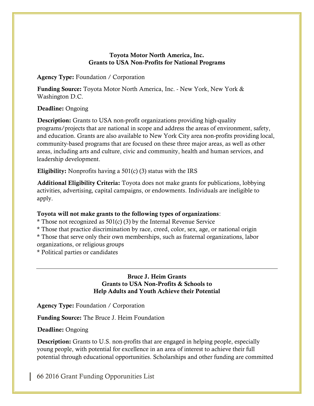### **Toyota Motor North America, Inc. Grants to USA Non-Profits for National Programs**

**Agency Type:** Foundation / Corporation

**Funding Source:** Toyota Motor North America, Inc. - New York, New York & Washington D.C.

# **Deadline:** Ongoing

**Description:** Grants to USA non-profit organizations providing high-quality programs/projects that are national in scope and address the areas of environment, safety, and education. Grants are also available to New York City area non-profits providing local, community‐based programs that are focused on these three major areas, as well as other areas, including arts and culture, civic and community, health and human services, and leadership development.

**Eligibility:** Nonprofits having a 501(c) (3) status with the IRS

**Additional Eligibility Criteria:** Toyota does not make grants for publications, lobbying activities, advertising, capital campaigns, or endowments. Individuals are ineligible to apply.

# **Toyota will not make grants to the following types of organizations**:

\* Those not recognized as 501(c) (3) by the Internal Revenue Service

\* Those that practice discrimination by race, creed, color, sex, age, or national origin

\* Those that serve only their own memberships, such as fraternal organizations, labor organizations, or religious groups

\* Political parties or candidates

### **Bruce J. Heim Grants Grants to USA Non-Profits & Schools to Help Adults and Youth Achieve their Potential**

**Agency Type:** Foundation / Corporation

**Funding Source:** The Bruce J. Heim Foundation

# **Deadline:** Ongoing

**Description:** Grants to U.S. non-profits that are engaged in helping people, especially young people, with potential for excellence in an area of interest to achieve their full potential through educational opportunities. Scholarships and other funding are committed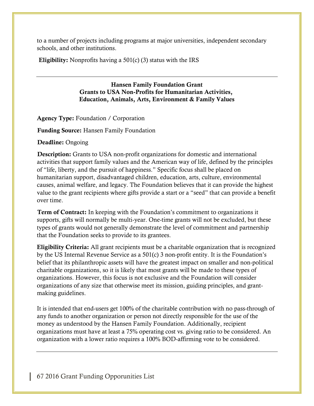to a number of projects including programs at major universities, independent secondary schools, and other institutions.

**Eligibility:** Nonprofits having a 501(c) (3) status with the IRS

#### **Hansen Family Foundation Grant Grants to USA Non-Profits for Humanitarian Activities, Education, Animals, Arts, Environment & Family Values**

**Agency Type:** Foundation / Corporation

**Funding Source:** Hansen Family Foundation

**Deadline:** Ongoing

**Description:** Grants to USA non-profit organizations for domestic and international activities that support family values and the American way of life, defined by the principles of "life, liberty, and the pursuit of happiness." Specific focus shall be placed on humanitarian support, disadvantaged children, education, arts, culture, environmental causes, animal welfare, and legacy. The Foundation believes that it can provide the highest value to the grant recipients where gifts provide a start or a "seed" that can provide a benefit over time.

**Term of Contract:** In keeping with the Foundation's commitment to organizations it supports, gifts will normally be multi-year. One-time grants will not be excluded, but these types of grants would not generally demonstrate the level of commitment and partnership that the Foundation seeks to provide to its grantees.

**Eligibility Criteria:** All grant recipients must be a charitable organization that is recognized by the US Internal Revenue Service as a 501(c) 3 non-profit entity. It is the Foundation's belief that its philanthropic assets will have the greatest impact on smaller and non-political charitable organizations, so it is likely that most grants will be made to these types of organizations. However, this focus is not exclusive and the Foundation will consider organizations of any size that otherwise meet its mission, guiding principles, and grantmaking guidelines.

It is intended that end-users get 100% of the charitable contribution with no pass-through of any funds to another organization or person not directly responsible for the use of the money as understood by the Hansen Family Foundation. Additionally, recipient organizations must have at least a 75% operating cost vs. giving ratio to be considered. An organization with a lower ratio requires a 100% BOD-affirming vote to be considered.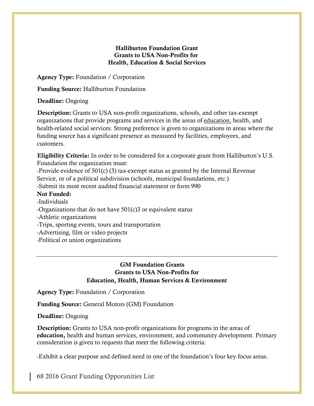## **Halliburton Foundation Grant Grants to USA Non-Profits for Health, Education & Social Services**

**Agency Type:** Foundation / Corporation

**Funding Source:** Halliburton Foundation

**Deadline:** Ongoing

**Description:** Grants to USA non-profit organizations, schools, and other tax-exempt organizations that provide programs and services in the areas of education, health, and health-related social services. Strong preference is given to organizations in areas where the funding source has a significant presence as measured by facilities, employees, and customers.

**Eligibility Criteria:** In order to be considered for a corporate grant from Halliburton's U.S. Foundation the organization must:

-Provide evidence of 501(c) (3) tax-exempt status as granted by the Internal Revenue Service, or of a political subdivision (schools, municipal foundations, etc.)

-Submit its most recent audited financial statement or form 990

## **Not Funded:**

-Individuals

- -Organizations that do not have 501(c)3 or equivalent status
- -Athletic organizations
- -Trips, sporting events, tours and transportation
- -Advertising, film or video projects
- -Political or union organizations

## **GM Foundation Grants Grants to USA Non-Profits for Education, Health, Human Services & Environment**

**Agency Type:** Foundation / Corporation

**Funding Source:** General Motors (GM) Foundation

**Deadline:** Ongoing

**Description:** Grants to USA non-profit organizations for programs in the areas of **education,** health and human services, environment, and community development. Primary consideration is given to requests that meet the following criteria:

-Exhibit a clear purpose and defined need in one of the foundation's four key focus areas.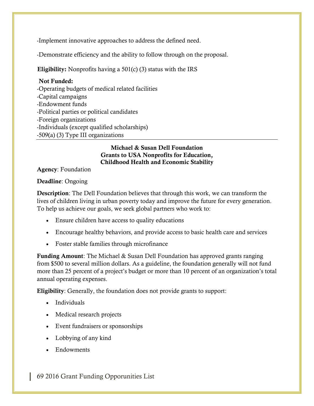-Implement innovative approaches to address the defined need.

-Demonstrate efficiency and the ability to follow through on the proposal.

**Eligibility:** Nonprofits having a 501(c) (3) status with the IRS

## **Not Funded:**

-Operating budgets of medical related facilities -Capital campaigns -Endowment funds -Political parties or political candidates -Foreign organizations -Individuals (except qualified scholarships) -509(a) (3) Type III organizations

### **Michael & Susan Dell Foundation Grants to USA Nonprofits for Education, Childhood Health and Economic Stability**

**Agency**: Foundation

## **Deadline**: Ongoing

**Description**: The Dell Foundation believes that through this work, we can transform the lives of children living in urban poverty today and improve the future for every generation. To help us achieve our goals, we seek global partners who work to:

- Ensure children have access to quality educations
- Encourage healthy behaviors, and provide access to basic health care and services
- Foster stable families through microfinance

**Funding Amount**: The Michael & Susan Dell Foundation has approved grants ranging from \$500 to several million dollars. As a guideline, the foundation generally will not fund more than 25 percent of a project's budget or more than 10 percent of an organization's total annual operating expenses.

**Eligibility**: Generally, the foundation does not provide grants to support:

- Individuals
- Medical research projects
- Event fundraisers or sponsorships
- Lobbying of any kind
- Endowments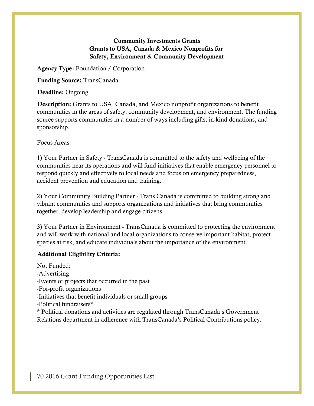# **Community Investments Grants Grants to USA, Canada & Mexico Nonprofits for Safety, Environment & Community Development**

**Agency Type:** Foundation / Corporation

**Funding Source:** TransCanada

**Deadline:** Ongoing

**Description:** Grants to USA, Canada, and Mexico nonprofit organizations to benefit communities in the areas of safety, community development, and environment. The funding source supports communities in a number of ways including gifts, in-kind donations, and sponsorship.

Focus Areas:

1) Your Partner in Safety - TransCanada is committed to the safety and wellbeing of the communities near its operations and will fund initiatives that enable emergency personnel to respond quickly and effectively to local needs and focus on emergency preparedness, accident prevention and education and training.

2) Your Community Building Partner - Trans Canada is committed to building strong and vibrant communities and supports organizations and initiatives that bring communities together, develop leadership and engage citizens.

3) Your Partner in Environment - TransCanada is committed to protecting the environment and will work with national and local organizations to conserve important habitat, protect species at risk, and educate individuals about the importance of the environment.

### **Additional Eligibility Criteria:**

Not Funded: -Advertising -Events or projects that occurred in the past -For-profit organizations -Initiatives that benefit individuals or small groups -Political fundraisers\* \* Political donations and activities are regulated through TransCanada's Government Relations department in adherence with TransCanada's Political Contributions policy.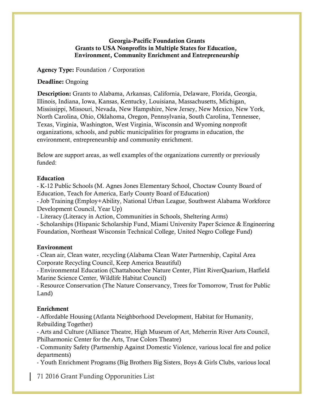### **Georgia-Pacific Foundation Grants Grants to USA Nonprofits in Multiple States for Education, Environment, Community Enrichment and Entrepreneurship**

#### **Agency Type:** Foundation / Corporation

#### **Deadline:** Ongoing

**Description:** Grants to Alabama, Arkansas, California, Delaware, Florida, Georgia, Illinois, Indiana, Iowa, Kansas, Kentucky, Louisiana, Massachusetts, Michigan, Mississippi, Missouri, Nevada, New Hampshire, New Jersey, New Mexico, New York, North Carolina, Ohio, Oklahoma, Oregon, Pennsylvania, South Carolina, Tennessee, Texas, Virginia, Washington, West Virginia, Wisconsin and Wyoming nonprofit organizations, schools, and public municipalities for programs in education, the environment, entrepreneurship and community enrichment.

Below are support areas, as well examples of the organizations currently or previously funded:

#### **Education**

- K-12 Public Schools (M. Agnes Jones Elementary School, Choctaw County Board of Education, Teach for America, Early County Board of Education)

- Job Training (Employ+Ability, National Urban League, Southwest Alabama Workforce Development Council, Year Up)

- Literacy (Literacy in Action, Communities in Schools, Sheltering Arms)

- Scholarships (Hispanic Scholarship Fund, Miami University Paper Science & Engineering Foundation, Northeast Wisconsin Technical College, United Negro College Fund)

### **Environment**

- Clean air, Clean water, recycling (Alabama Clean Water Partnership, Capital Area Corporate Recycling Council, Keep America Beautiful)

- Environmental Education (Chattahoochee Nature Center, Flint RiverQuarium, Hatfield Marine Science Center, Wildlife Habitat Council)

- Resource Conservation (The Nature Conservancy, Trees for Tomorrow, Trust for Public Land)

### **Enrichment**

- Affordable Housing (Atlanta Neighborhood Development, Habitat for Humanity, Rebuilding Together)

- Arts and Culture (Alliance Theatre, High Museum of Art, Meherrin River Arts Council, Philharmonic Center for the Arts, True Colors Theatre)

- Community Safety (Partnership Against Domestic Violence, various local fire and police departments)

- Youth Enrichment Programs (Big Brothers Big Sisters, Boys & Girls Clubs, various local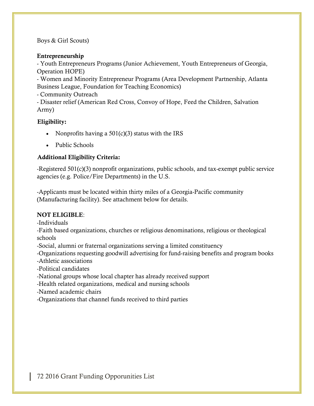Boys & Girl Scouts)

## **Entrepreneurship**

- Youth Entrepreneurs Programs (Junior Achievement, Youth Entrepreneurs of Georgia, Operation HOPE)

- Women and Minority Entrepreneur Programs (Area Development Partnership, Atlanta Business League, Foundation for Teaching Economics)

- Community Outreach

- Disaster relief (American Red Cross, Convoy of Hope, Feed the Children, Salvation Army)

# **Eligibility:**

- Nonprofits having a  $501(c)(3)$  status with the IRS
- Public Schools

# **Additional Eligibility Criteria:**

-Registered 501(c)(3) nonprofit organizations, public schools, and tax-exempt public service agencies (e.g. Police/Fire Departments) in the U.S.

-Applicants must be located within thirty miles of a Georgia-Pacific community (Manufacturing facility). See attachment below for details.

# **NOT ELIGIBLE**:

-Individuals

-Faith based organizations, churches or religious denominations, religious or theological schools

-Social, alumni or fraternal organizations serving a limited constituency

-Organizations requesting goodwill advertising for fund-raising benefits and program books

-Athletic associations

-Political candidates

-National groups whose local chapter has already received support

-Health related organizations, medical and nursing schools

-Named academic chairs

-Organizations that channel funds received to third parties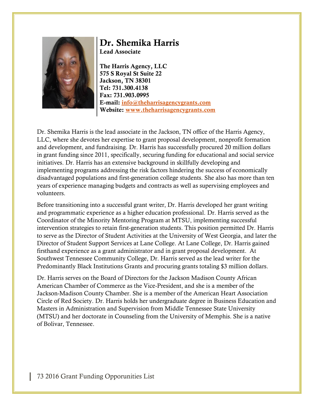

## **Dr. Shemika Harris Lead Associate**

**The Harris Agency, LLC 575 S Royal St Suite 22 Jackson, TN 38301 Tel: 731.300.4138 Fax: 731.903.0995 E-mail: [info@theharrisagencygrants.com](mailto:info@theharrisagencygrants.com) Website: [www.theharrisagencygrants.com](http://www.theharrisagencygrants.com/)**

Dr. Shemika Harris is the lead associate in the Jackson, TN office of the Harris Agency, LLC, where she devotes her expertise to grant proposal development, nonprofit formation and development, and fundraising. Dr. Harris has successfully procured 20 million dollars in grant funding since 2011, specifically, securing funding for educational and social service initiatives. Dr. Harris has an extensive background in skillfully developing and implementing programs addressing the risk factors hindering the success of economically disadvantaged populations and first-generation college students. She also has more than ten years of experience managing budgets and contracts as well as supervising employees and volunteers.

Before transitioning into a successful grant writer, Dr. Harris developed her grant writing and programmatic experience as a higher education professional. Dr. Harris served as the Coordinator of the Minority Mentoring Program at MTSU, implementing successful intervention strategies to retain first-generation students. This position permitted Dr. Harris to serve as the Director of Student Activities at the University of West Georgia, and later the Director of Student Support Services at Lane College. At Lane College, Dr. Harris gained firsthand experience as a grant administrator and in grant proposal development. At Southwest Tennessee Community College, Dr. Harris served as the lead writer for the Predominantly Black Institutions Grants and procuring grants totaling \$3 million dollars.

Dr. Harris serves on the Board of Directors for the Jackson Madison County African American Chamber of Commerce as the Vice-President, and she is a member of the Jackson-Madison County Chamber. She is a member of the American Heart Association Circle of Red Society. Dr. Harris holds her undergraduate degree in Business Education and Masters in Administration and Supervision from Middle Tennessee State University (MTSU) and her doctorate in Counseling from the University of Memphis. She is a native of Bolivar, Tennessee.